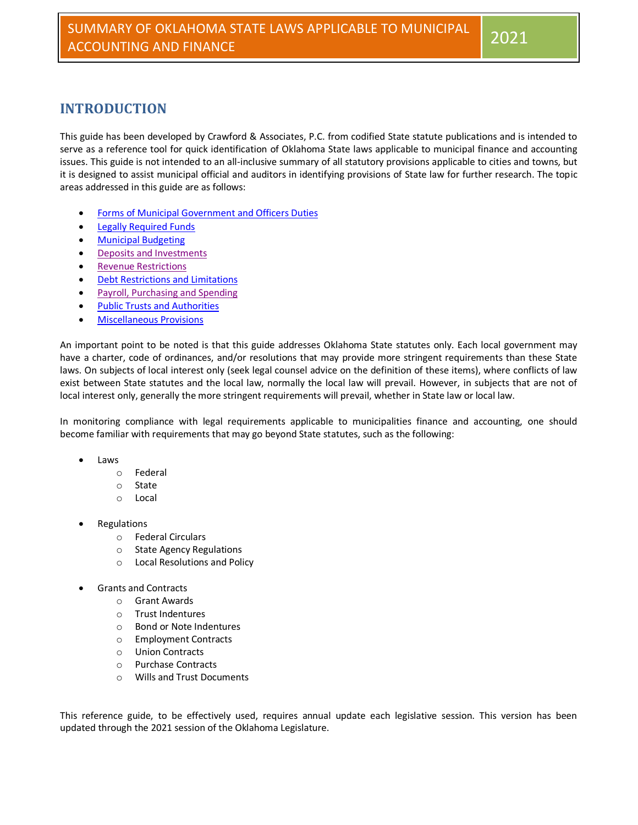#### **INTRODUCTION**

This guide has been developed by Crawford & Associates, P.C. from codified State statute publications and is intended to serve as a reference tool for quick identification of Oklahoma State laws applicable to municipal finance and accounting issues. This guide is not intended to an all-inclusive summary of all statutory provisions applicable to cities and towns, but it is designed to assist municipal official and auditors in identifying provisions of State law for further research. The topic areas addressed in this guide are as follows:

- Forms of Municipal Government and Officers Duties
- Legally Required Funds
- Municipal Budgeting
- Deposits and Investments
- Revenue Restrictions
- Debt Restrictions and Limitations
- Payroll, Purchasing and Spending
- Public Trusts and Authorities
- Miscellaneous Provisions

An important point to be noted is that this guide addresses Oklahoma State statutes only. Each local government may have a charter, code of ordinances, and/or resolutions that may provide more stringent requirements than these State laws. On subjects of local interest only (seek legal counsel advice on the definition of these items), where conflicts of law exist between State statutes and the local law, normally the local law will prevail. However, in subjects that are not of local interest only, generally the more stringent requirements will prevail, whether in State law or local law.

In monitoring compliance with legal requirements applicable to municipalities finance and accounting, one should become familiar with requirements that may go beyond State statutes, such as the following:

- Laws
	- o Federal
	- o State
	- o Local
- Regulations
	- o Federal Circulars
	- o State Agency Regulations
	- o Local Resolutions and Policy
- Grants and Contracts
	- o Grant Awards
	- o Trust Indentures
	- o Bond or Note Indentures
	- o Employment Contracts
	- o Union Contracts
	- o Purchase Contracts
	- o Wills and Trust Documents

This reference guide, to be effectively used, requires annual update each legislative session. This version has been updated through the 2021 session of the Oklahoma Legislature.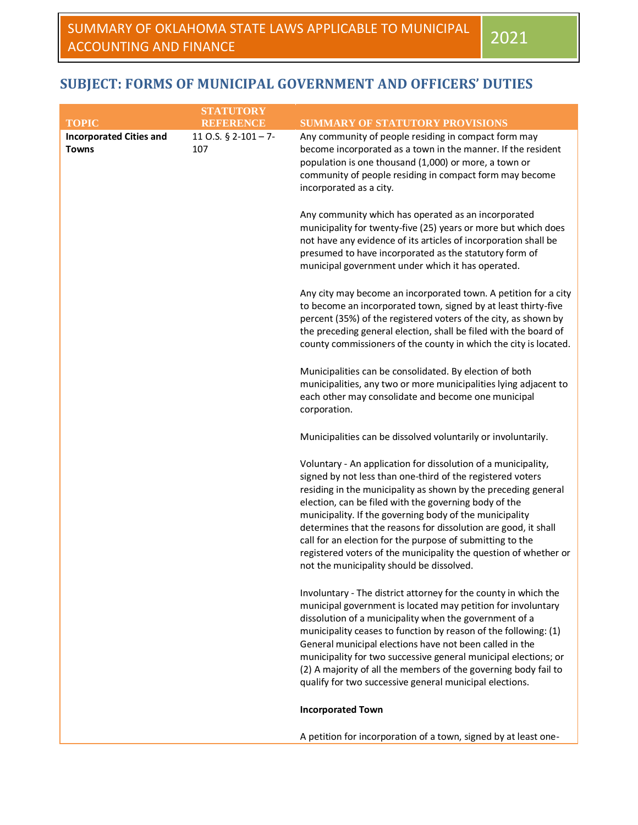#### **SUBJECT: FORMS OF MUNICIPAL GOVERNMENT AND OFFICERS' DUTIES**

|                                                | <b>STATUTORY</b>               |                                                                                                                                                                                                                                                                                                                                                                                                                                                                                                                                                                   |
|------------------------------------------------|--------------------------------|-------------------------------------------------------------------------------------------------------------------------------------------------------------------------------------------------------------------------------------------------------------------------------------------------------------------------------------------------------------------------------------------------------------------------------------------------------------------------------------------------------------------------------------------------------------------|
| <b>TOPIC</b>                                   | <b>REFERENCE</b>               | <b>SUMMARY OF STATUTORY PROVISIONS</b>                                                                                                                                                                                                                                                                                                                                                                                                                                                                                                                            |
| <b>Incorporated Cities and</b><br><b>Towns</b> | 11 O.S. $\S$ 2-101 - 7-<br>107 | Any community of people residing in compact form may<br>become incorporated as a town in the manner. If the resident<br>population is one thousand (1,000) or more, a town or<br>community of people residing in compact form may become<br>incorporated as a city.                                                                                                                                                                                                                                                                                               |
|                                                |                                | Any community which has operated as an incorporated<br>municipality for twenty-five (25) years or more but which does<br>not have any evidence of its articles of incorporation shall be<br>presumed to have incorporated as the statutory form of<br>municipal government under which it has operated.                                                                                                                                                                                                                                                           |
|                                                |                                | Any city may become an incorporated town. A petition for a city<br>to become an incorporated town, signed by at least thirty-five<br>percent (35%) of the registered voters of the city, as shown by<br>the preceding general election, shall be filed with the board of<br>county commissioners of the county in which the city is located.                                                                                                                                                                                                                      |
|                                                |                                | Municipalities can be consolidated. By election of both<br>municipalities, any two or more municipalities lying adjacent to<br>each other may consolidate and become one municipal<br>corporation.                                                                                                                                                                                                                                                                                                                                                                |
|                                                |                                | Municipalities can be dissolved voluntarily or involuntarily.                                                                                                                                                                                                                                                                                                                                                                                                                                                                                                     |
|                                                |                                | Voluntary - An application for dissolution of a municipality,<br>signed by not less than one-third of the registered voters<br>residing in the municipality as shown by the preceding general<br>election, can be filed with the governing body of the<br>municipality. If the governing body of the municipality<br>determines that the reasons for dissolution are good, it shall<br>call for an election for the purpose of submitting to the<br>registered voters of the municipality the question of whether or<br>not the municipality should be dissolved. |
|                                                |                                | Involuntary - The district attorney for the county in which the<br>municipal government is located may petition for involuntary<br>dissolution of a municipality when the government of a<br>municipality ceases to function by reason of the following: (1)<br>General municipal elections have not been called in the<br>municipality for two successive general municipal elections; or<br>(2) A majority of all the members of the governing body fail to<br>qualify for two successive general municipal elections.                                          |
|                                                |                                | <b>Incorporated Town</b>                                                                                                                                                                                                                                                                                                                                                                                                                                                                                                                                          |
|                                                |                                | A petition for incorporation of a town, signed by at least one-                                                                                                                                                                                                                                                                                                                                                                                                                                                                                                   |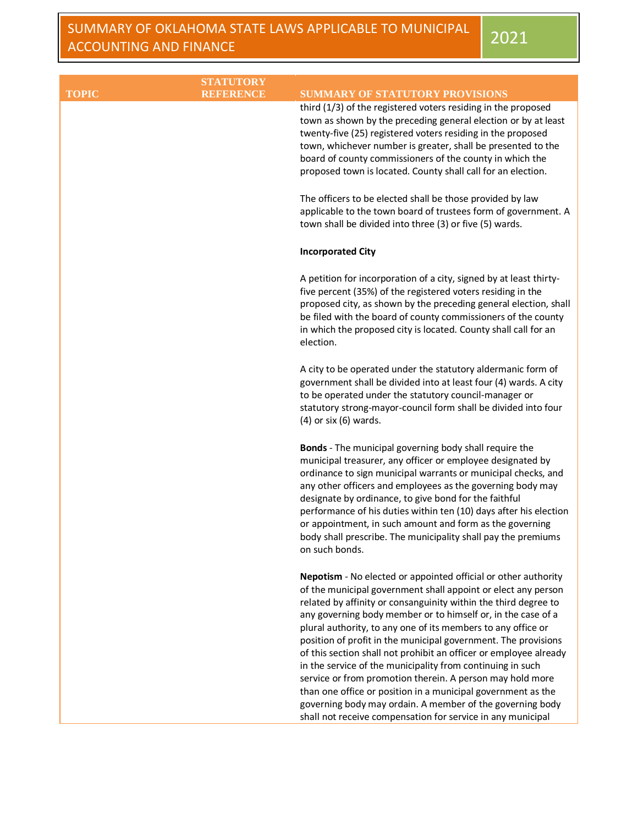|              | <b>STATUTORY</b> |                                                                                                                                                                                                                                                                                                                                                                                                                                                                                                                                                                                                                                                                                                                                   |
|--------------|------------------|-----------------------------------------------------------------------------------------------------------------------------------------------------------------------------------------------------------------------------------------------------------------------------------------------------------------------------------------------------------------------------------------------------------------------------------------------------------------------------------------------------------------------------------------------------------------------------------------------------------------------------------------------------------------------------------------------------------------------------------|
| <b>TOPIC</b> | R E E E E E E    | <b>SUMMARY OF STATUTORY PROVISIONS</b>                                                                                                                                                                                                                                                                                                                                                                                                                                                                                                                                                                                                                                                                                            |
|              |                  | third (1/3) of the registered voters residing in the proposed<br>town as shown by the preceding general election or by at least<br>twenty-five (25) registered voters residing in the proposed<br>town, whichever number is greater, shall be presented to the<br>board of county commissioners of the county in which the<br>proposed town is located. County shall call for an election.                                                                                                                                                                                                                                                                                                                                        |
|              |                  | The officers to be elected shall be those provided by law<br>applicable to the town board of trustees form of government. A<br>town shall be divided into three (3) or five (5) wards.                                                                                                                                                                                                                                                                                                                                                                                                                                                                                                                                            |
|              |                  | <b>Incorporated City</b>                                                                                                                                                                                                                                                                                                                                                                                                                                                                                                                                                                                                                                                                                                          |
|              |                  | A petition for incorporation of a city, signed by at least thirty-<br>five percent (35%) of the registered voters residing in the<br>proposed city, as shown by the preceding general election, shall<br>be filed with the board of county commissioners of the county<br>in which the proposed city is located. County shall call for an<br>election.                                                                                                                                                                                                                                                                                                                                                                            |
|              |                  | A city to be operated under the statutory aldermanic form of<br>government shall be divided into at least four (4) wards. A city<br>to be operated under the statutory council-manager or<br>statutory strong-mayor-council form shall be divided into four<br>$(4)$ or six $(6)$ wards.                                                                                                                                                                                                                                                                                                                                                                                                                                          |
|              |                  | Bonds - The municipal governing body shall require the<br>municipal treasurer, any officer or employee designated by<br>ordinance to sign municipal warrants or municipal checks, and<br>any other officers and employees as the governing body may<br>designate by ordinance, to give bond for the faithful<br>performance of his duties within ten (10) days after his election<br>or appointment, in such amount and form as the governing<br>body shall prescribe. The municipality shall pay the premiums<br>on such bonds.                                                                                                                                                                                                  |
|              |                  | Nepotism - No elected or appointed official or other authority<br>of the municipal government shall appoint or elect any person<br>related by affinity or consanguinity within the third degree to<br>any governing body member or to himself or, in the case of a<br>plural authority, to any one of its members to any office or<br>position of profit in the municipal government. The provisions<br>of this section shall not prohibit an officer or employee already<br>in the service of the municipality from continuing in such<br>service or from promotion therein. A person may hold more<br>than one office or position in a municipal government as the<br>governing body may ordain. A member of the governing body |

shall not receive compensation for service in any municipal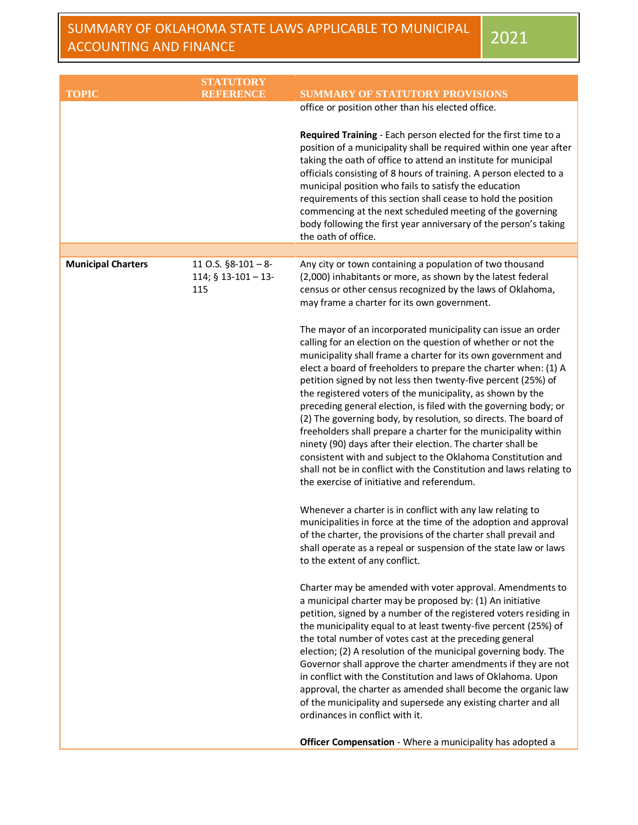|                           | <b>STATUTORY</b>                                    |                                                                                                                                                                                                                                                                                                                                                                                                                                                                                                                                                                                                                                                                                                                                                                                                                                                                                                                                                                                                                                                                                                                                                                                                                                                                                                                                                                                                                                                                                                                                                                                                                                                                                                                                                                                                                   |
|---------------------------|-----------------------------------------------------|-------------------------------------------------------------------------------------------------------------------------------------------------------------------------------------------------------------------------------------------------------------------------------------------------------------------------------------------------------------------------------------------------------------------------------------------------------------------------------------------------------------------------------------------------------------------------------------------------------------------------------------------------------------------------------------------------------------------------------------------------------------------------------------------------------------------------------------------------------------------------------------------------------------------------------------------------------------------------------------------------------------------------------------------------------------------------------------------------------------------------------------------------------------------------------------------------------------------------------------------------------------------------------------------------------------------------------------------------------------------------------------------------------------------------------------------------------------------------------------------------------------------------------------------------------------------------------------------------------------------------------------------------------------------------------------------------------------------------------------------------------------------------------------------------------------------|
| <b>TOPIC</b>              | <b>REFERENCE</b>                                    | <b>SUMMARY OF STATUTORY PROVISIONS</b>                                                                                                                                                                                                                                                                                                                                                                                                                                                                                                                                                                                                                                                                                                                                                                                                                                                                                                                                                                                                                                                                                                                                                                                                                                                                                                                                                                                                                                                                                                                                                                                                                                                                                                                                                                            |
|                           |                                                     | office or position other than his elected office.<br>Required Training - Each person elected for the first time to a                                                                                                                                                                                                                                                                                                                                                                                                                                                                                                                                                                                                                                                                                                                                                                                                                                                                                                                                                                                                                                                                                                                                                                                                                                                                                                                                                                                                                                                                                                                                                                                                                                                                                              |
|                           |                                                     | position of a municipality shall be required within one year after<br>taking the oath of office to attend an institute for municipal<br>officials consisting of 8 hours of training. A person elected to a<br>municipal position who fails to satisfy the education<br>requirements of this section shall cease to hold the position<br>commencing at the next scheduled meeting of the governing<br>body following the first year anniversary of the person's taking<br>the oath of office.                                                                                                                                                                                                                                                                                                                                                                                                                                                                                                                                                                                                                                                                                                                                                                                                                                                                                                                                                                                                                                                                                                                                                                                                                                                                                                                      |
|                           |                                                     |                                                                                                                                                                                                                                                                                                                                                                                                                                                                                                                                                                                                                                                                                                                                                                                                                                                                                                                                                                                                                                                                                                                                                                                                                                                                                                                                                                                                                                                                                                                                                                                                                                                                                                                                                                                                                   |
| <b>Municipal Charters</b> | 11 O.S. $§8-101-8-$<br>114; $§$ 13-101 - 13-<br>115 | Any city or town containing a population of two thousand<br>(2,000) inhabitants or more, as shown by the latest federal<br>census or other census recognized by the laws of Oklahoma,<br>may frame a charter for its own government.<br>The mayor of an incorporated municipality can issue an order<br>calling for an election on the question of whether or not the<br>municipality shall frame a charter for its own government and<br>elect a board of freeholders to prepare the charter when: (1) A<br>petition signed by not less then twenty-five percent (25%) of<br>the registered voters of the municipality, as shown by the<br>preceding general election, is filed with the governing body; or<br>(2) The governing body, by resolution, so directs. The board of<br>freeholders shall prepare a charter for the municipality within<br>ninety (90) days after their election. The charter shall be<br>consistent with and subject to the Oklahoma Constitution and<br>shall not be in conflict with the Constitution and laws relating to<br>the exercise of initiative and referendum.<br>Whenever a charter is in conflict with any law relating to<br>municipalities in force at the time of the adoption and approval<br>of the charter, the provisions of the charter shall prevail and<br>shall operate as a repeal or suspension of the state law or laws<br>to the extent of any conflict.<br>Charter may be amended with voter approval. Amendments to<br>a municipal charter may be proposed by: (1) An initiative<br>petition, signed by a number of the registered voters residing in<br>the municipality equal to at least twenty-five percent (25%) of<br>the total number of votes cast at the preceding general<br>election; (2) A resolution of the municipal governing body. The |
|                           |                                                     | Governor shall approve the charter amendments if they are not<br>in conflict with the Constitution and laws of Oklahoma. Upon<br>approval, the charter as amended shall become the organic law<br>of the municipality and supersede any existing charter and all                                                                                                                                                                                                                                                                                                                                                                                                                                                                                                                                                                                                                                                                                                                                                                                                                                                                                                                                                                                                                                                                                                                                                                                                                                                                                                                                                                                                                                                                                                                                                  |
|                           |                                                     | ordinances in conflict with it.<br>Officer Compensation - Where a municipality has adopted a                                                                                                                                                                                                                                                                                                                                                                                                                                                                                                                                                                                                                                                                                                                                                                                                                                                                                                                                                                                                                                                                                                                                                                                                                                                                                                                                                                                                                                                                                                                                                                                                                                                                                                                      |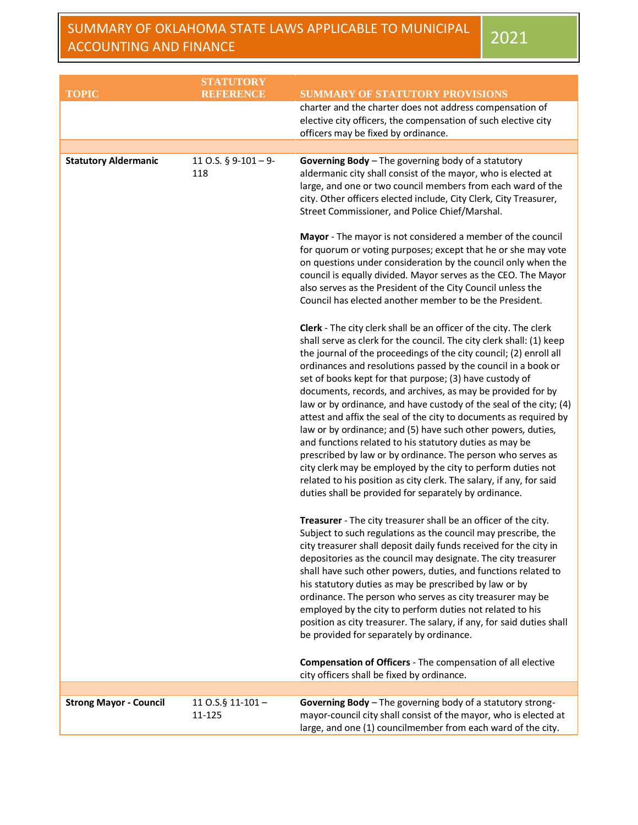|                               | <b>STATUTORY</b>               |                                                                                                                                                                                                                                                                                                                                                                                                                                                                                                                                                                                                                                                                                                                                                                                                                                                                                                                                                 |
|-------------------------------|--------------------------------|-------------------------------------------------------------------------------------------------------------------------------------------------------------------------------------------------------------------------------------------------------------------------------------------------------------------------------------------------------------------------------------------------------------------------------------------------------------------------------------------------------------------------------------------------------------------------------------------------------------------------------------------------------------------------------------------------------------------------------------------------------------------------------------------------------------------------------------------------------------------------------------------------------------------------------------------------|
| <b>TOPIC</b>                  | <b>REFERENCE</b>               | <b>SUMMARY OF STATUTORY PROVISIONS</b>                                                                                                                                                                                                                                                                                                                                                                                                                                                                                                                                                                                                                                                                                                                                                                                                                                                                                                          |
|                               |                                | charter and the charter does not address compensation of<br>elective city officers, the compensation of such elective city                                                                                                                                                                                                                                                                                                                                                                                                                                                                                                                                                                                                                                                                                                                                                                                                                      |
|                               |                                | officers may be fixed by ordinance.                                                                                                                                                                                                                                                                                                                                                                                                                                                                                                                                                                                                                                                                                                                                                                                                                                                                                                             |
| <b>Statutory Aldermanic</b>   | 11 O.S. $\S$ 9-101 - 9-<br>118 | Governing Body - The governing body of a statutory<br>aldermanic city shall consist of the mayor, who is elected at<br>large, and one or two council members from each ward of the<br>city. Other officers elected include, City Clerk, City Treasurer,<br>Street Commissioner, and Police Chief/Marshal.                                                                                                                                                                                                                                                                                                                                                                                                                                                                                                                                                                                                                                       |
|                               |                                | Mayor - The mayor is not considered a member of the council<br>for quorum or voting purposes; except that he or she may vote<br>on questions under consideration by the council only when the<br>council is equally divided. Mayor serves as the CEO. The Mayor<br>also serves as the President of the City Council unless the<br>Council has elected another member to be the President.                                                                                                                                                                                                                                                                                                                                                                                                                                                                                                                                                       |
|                               |                                | Clerk - The city clerk shall be an officer of the city. The clerk<br>shall serve as clerk for the council. The city clerk shall: (1) keep<br>the journal of the proceedings of the city council; (2) enroll all<br>ordinances and resolutions passed by the council in a book or<br>set of books kept for that purpose; (3) have custody of<br>documents, records, and archives, as may be provided for by<br>law or by ordinance, and have custody of the seal of the city; (4)<br>attest and affix the seal of the city to documents as required by<br>law or by ordinance; and (5) have such other powers, duties,<br>and functions related to his statutory duties as may be<br>prescribed by law or by ordinance. The person who serves as<br>city clerk may be employed by the city to perform duties not<br>related to his position as city clerk. The salary, if any, for said<br>duties shall be provided for separately by ordinance. |
|                               |                                | Treasurer - The city treasurer shall be an officer of the city.<br>Subject to such regulations as the council may prescribe, the<br>city treasurer shall deposit daily funds received for the city in<br>depositories as the council may designate. The city treasurer<br>shall have such other powers, duties, and functions related to<br>his statutory duties as may be prescribed by law or by<br>ordinance. The person who serves as city treasurer may be<br>employed by the city to perform duties not related to his<br>position as city treasurer. The salary, if any, for said duties shall<br>be provided for separately by ordinance.                                                                                                                                                                                                                                                                                               |
|                               |                                | Compensation of Officers - The compensation of all elective                                                                                                                                                                                                                                                                                                                                                                                                                                                                                                                                                                                                                                                                                                                                                                                                                                                                                     |
|                               |                                | city officers shall be fixed by ordinance.                                                                                                                                                                                                                                                                                                                                                                                                                                                                                                                                                                                                                                                                                                                                                                                                                                                                                                      |
| <b>Strong Mayor - Council</b> |                                |                                                                                                                                                                                                                                                                                                                                                                                                                                                                                                                                                                                                                                                                                                                                                                                                                                                                                                                                                 |
|                               | 11 O.S.§ 11-101 -<br>11-125    | Governing Body - The governing body of a statutory strong-<br>mayor-council city shall consist of the mayor, who is elected at<br>large, and one (1) councilmember from each ward of the city.                                                                                                                                                                                                                                                                                                                                                                                                                                                                                                                                                                                                                                                                                                                                                  |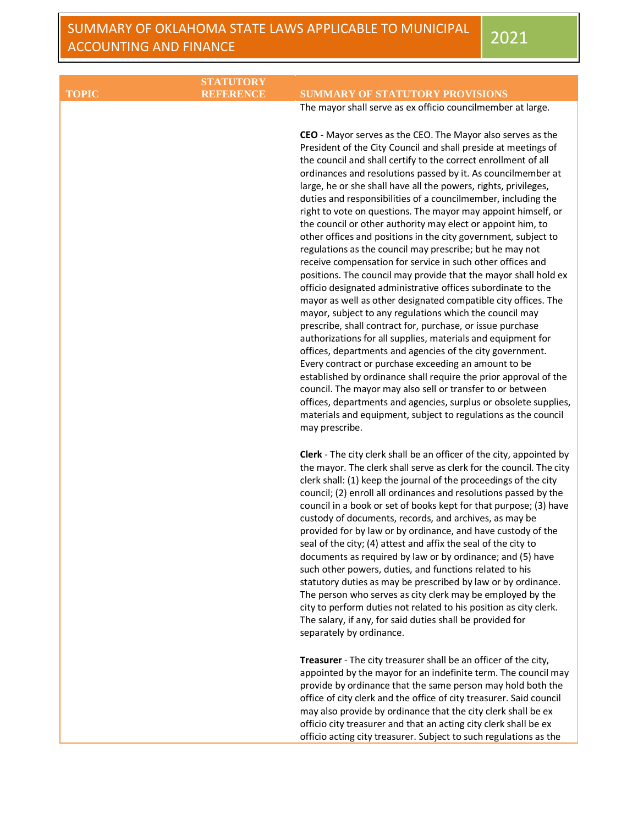|              | <b>STATUTORY</b> |                                                                                                                                                                                                                                                                                                                                                                                                                                                                                                                                                                                                                                                                                                                                                                                                                                                                                                                                                                                                                                                                                                                                                                                                                                                                                                                                                                                                                                                                                                                                              |
|--------------|------------------|----------------------------------------------------------------------------------------------------------------------------------------------------------------------------------------------------------------------------------------------------------------------------------------------------------------------------------------------------------------------------------------------------------------------------------------------------------------------------------------------------------------------------------------------------------------------------------------------------------------------------------------------------------------------------------------------------------------------------------------------------------------------------------------------------------------------------------------------------------------------------------------------------------------------------------------------------------------------------------------------------------------------------------------------------------------------------------------------------------------------------------------------------------------------------------------------------------------------------------------------------------------------------------------------------------------------------------------------------------------------------------------------------------------------------------------------------------------------------------------------------------------------------------------------|
| <b>TOPIC</b> | <b>REFERENCE</b> | <b>SUMMARY OF STATUTORY PROVISIONS</b>                                                                                                                                                                                                                                                                                                                                                                                                                                                                                                                                                                                                                                                                                                                                                                                                                                                                                                                                                                                                                                                                                                                                                                                                                                                                                                                                                                                                                                                                                                       |
|              |                  | The mayor shall serve as ex officio councilmember at large.                                                                                                                                                                                                                                                                                                                                                                                                                                                                                                                                                                                                                                                                                                                                                                                                                                                                                                                                                                                                                                                                                                                                                                                                                                                                                                                                                                                                                                                                                  |
|              |                  | CEO - Mayor serves as the CEO. The Mayor also serves as the<br>President of the City Council and shall preside at meetings of<br>the council and shall certify to the correct enrollment of all<br>ordinances and resolutions passed by it. As councilmember at<br>large, he or she shall have all the powers, rights, privileges,<br>duties and responsibilities of a councilmember, including the<br>right to vote on questions. The mayor may appoint himself, or<br>the council or other authority may elect or appoint him, to<br>other offices and positions in the city government, subject to<br>regulations as the council may prescribe; but he may not<br>receive compensation for service in such other offices and<br>positions. The council may provide that the mayor shall hold ex<br>officio designated administrative offices subordinate to the<br>mayor as well as other designated compatible city offices. The<br>mayor, subject to any regulations which the council may<br>prescribe, shall contract for, purchase, or issue purchase<br>authorizations for all supplies, materials and equipment for<br>offices, departments and agencies of the city government.<br>Every contract or purchase exceeding an amount to be<br>established by ordinance shall require the prior approval of the<br>council. The mayor may also sell or transfer to or between<br>offices, departments and agencies, surplus or obsolete supplies,<br>materials and equipment, subject to regulations as the council<br>may prescribe. |
|              |                  | Clerk - The city clerk shall be an officer of the city, appointed by<br>the mayor. The clerk shall serve as clerk for the council. The city<br>clerk shall: (1) keep the journal of the proceedings of the city<br>council; (2) enroll all ordinances and resolutions passed by the<br>council in a book or set of books kept for that purpose; (3) have<br>custody of documents, records, and archives, as may be<br>provided for by law or by ordinance, and have custody of the<br>seal of the city; (4) attest and affix the seal of the city to<br>documents as required by law or by ordinance; and (5) have<br>such other powers, duties, and functions related to his<br>statutory duties as may be prescribed by law or by ordinance.<br>The person who serves as city clerk may be employed by the<br>city to perform duties not related to his position as city clerk.<br>The salary, if any, for said duties shall be provided for<br>separately by ordinance.                                                                                                                                                                                                                                                                                                                                                                                                                                                                                                                                                                   |
|              |                  | Treasurer - The city treasurer shall be an officer of the city,<br>appointed by the mayor for an indefinite term. The council may<br>provide by ordinance that the same person may hold both the<br>office of city clerk and the office of city treasurer. Said council<br>may also provide by ordinance that the city clerk shall be ex<br>officio city treasurer and that an acting city clerk shall be ex                                                                                                                                                                                                                                                                                                                                                                                                                                                                                                                                                                                                                                                                                                                                                                                                                                                                                                                                                                                                                                                                                                                                 |

officio acting city treasurer. Subject to such regulations as the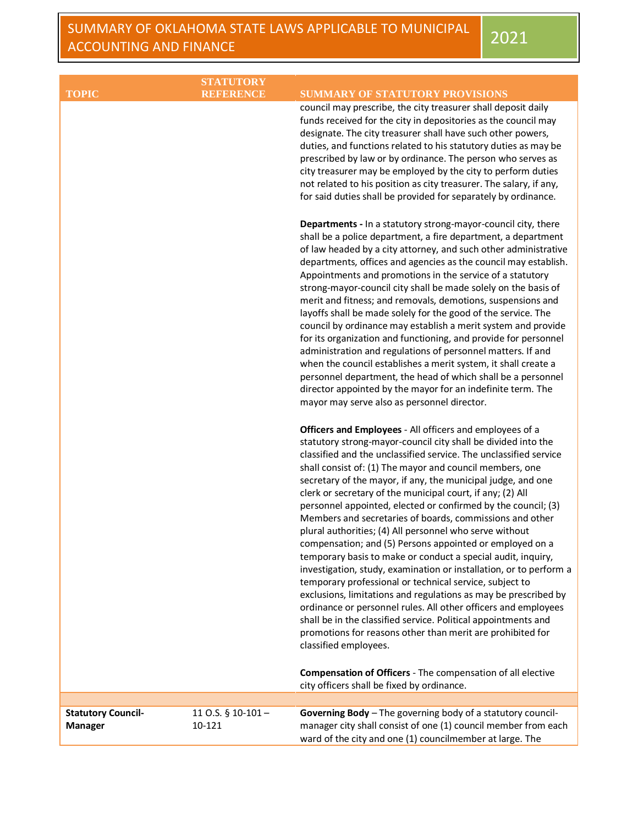|                           | <b>STATUTORY</b>  |                                                                                                                                                                                                                                                                                                                                                                                                                                                                                                                                                                                                                                                                                                                                                                                                                                                                                                                                                                                                                                                                                                                                                                                                                                                                                                                                                                                                                                                                                                                                                                                                                                                                                                                                                                                                                                                                                                                                                                                                                                                                                                                                                                                                                                                                                                                                                                                                                                                                                                                                                                                                                                                                                                                                                                                                                                                 |
|---------------------------|-------------------|-------------------------------------------------------------------------------------------------------------------------------------------------------------------------------------------------------------------------------------------------------------------------------------------------------------------------------------------------------------------------------------------------------------------------------------------------------------------------------------------------------------------------------------------------------------------------------------------------------------------------------------------------------------------------------------------------------------------------------------------------------------------------------------------------------------------------------------------------------------------------------------------------------------------------------------------------------------------------------------------------------------------------------------------------------------------------------------------------------------------------------------------------------------------------------------------------------------------------------------------------------------------------------------------------------------------------------------------------------------------------------------------------------------------------------------------------------------------------------------------------------------------------------------------------------------------------------------------------------------------------------------------------------------------------------------------------------------------------------------------------------------------------------------------------------------------------------------------------------------------------------------------------------------------------------------------------------------------------------------------------------------------------------------------------------------------------------------------------------------------------------------------------------------------------------------------------------------------------------------------------------------------------------------------------------------------------------------------------------------------------------------------------------------------------------------------------------------------------------------------------------------------------------------------------------------------------------------------------------------------------------------------------------------------------------------------------------------------------------------------------------------------------------------------------------------------------------------------------|
| <b>TOPIC</b>              | <b>REFERENCE</b>  | <b>SUMMARY OF STATUTORY PROVISIONS</b><br>council may prescribe, the city treasurer shall deposit daily<br>funds received for the city in depositories as the council may<br>designate. The city treasurer shall have such other powers,<br>duties, and functions related to his statutory duties as may be<br>prescribed by law or by ordinance. The person who serves as<br>city treasurer may be employed by the city to perform duties<br>not related to his position as city treasurer. The salary, if any,<br>for said duties shall be provided for separately by ordinance.<br>Departments - In a statutory strong-mayor-council city, there<br>shall be a police department, a fire department, a department<br>of law headed by a city attorney, and such other administrative<br>departments, offices and agencies as the council may establish.<br>Appointments and promotions in the service of a statutory<br>strong-mayor-council city shall be made solely on the basis of<br>merit and fitness; and removals, demotions, suspensions and<br>layoffs shall be made solely for the good of the service. The<br>council by ordinance may establish a merit system and provide<br>for its organization and functioning, and provide for personnel<br>administration and regulations of personnel matters. If and<br>when the council establishes a merit system, it shall create a<br>personnel department, the head of which shall be a personnel<br>director appointed by the mayor for an indefinite term. The<br>mayor may serve also as personnel director.<br>Officers and Employees - All officers and employees of a<br>statutory strong-mayor-council city shall be divided into the<br>classified and the unclassified service. The unclassified service<br>shall consist of: (1) The mayor and council members, one<br>secretary of the mayor, if any, the municipal judge, and one<br>clerk or secretary of the municipal court, if any; (2) All<br>personnel appointed, elected or confirmed by the council; (3)<br>Members and secretaries of boards, commissions and other<br>plural authorities; (4) All personnel who serve without<br>compensation; and (5) Persons appointed or employed on a<br>temporary basis to make or conduct a special audit, inquiry,<br>investigation, study, examination or installation, or to perform a<br>temporary professional or technical service, subject to<br>exclusions, limitations and regulations as may be prescribed by<br>ordinance or personnel rules. All other officers and employees<br>shall be in the classified service. Political appointments and<br>promotions for reasons other than merit are prohibited for<br>classified employees.<br><b>Compensation of Officers</b> - The compensation of all elective<br>city officers shall be fixed by ordinance. |
| <b>Statutory Council-</b> | 11 O.S. § 10-101- | Governing Body - The governing body of a statutory council-                                                                                                                                                                                                                                                                                                                                                                                                                                                                                                                                                                                                                                                                                                                                                                                                                                                                                                                                                                                                                                                                                                                                                                                                                                                                                                                                                                                                                                                                                                                                                                                                                                                                                                                                                                                                                                                                                                                                                                                                                                                                                                                                                                                                                                                                                                                                                                                                                                                                                                                                                                                                                                                                                                                                                                                     |
| Manager                   | 10-121            | manager city shall consist of one (1) council member from each<br>ward of the city and one (1) councilmember at large. The                                                                                                                                                                                                                                                                                                                                                                                                                                                                                                                                                                                                                                                                                                                                                                                                                                                                                                                                                                                                                                                                                                                                                                                                                                                                                                                                                                                                                                                                                                                                                                                                                                                                                                                                                                                                                                                                                                                                                                                                                                                                                                                                                                                                                                                                                                                                                                                                                                                                                                                                                                                                                                                                                                                      |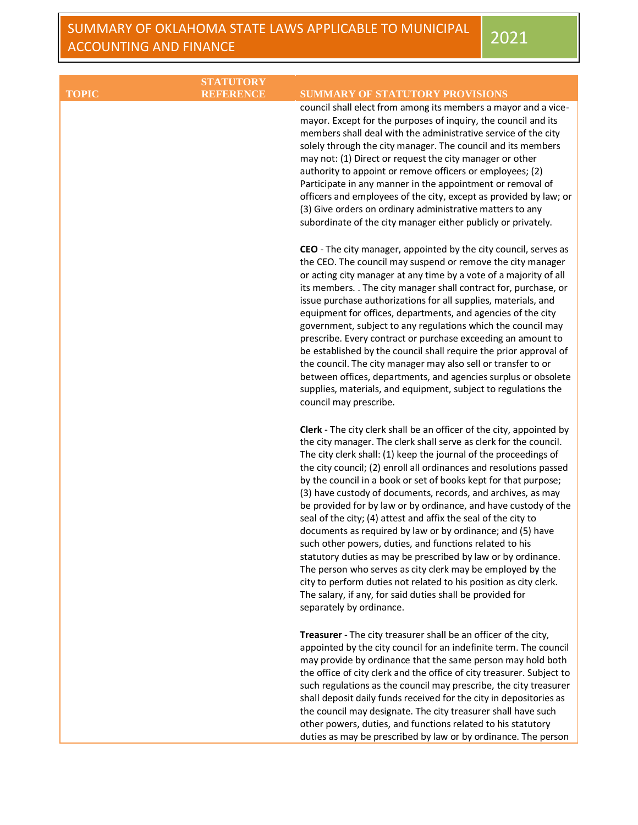|              | <b>STATUTORY</b> |                                                                                                                                                                                                                                                                                                                                                                                                                                                                                                                                                                                                                                                                                                                                                                                                                                                                                                                                                                                   |
|--------------|------------------|-----------------------------------------------------------------------------------------------------------------------------------------------------------------------------------------------------------------------------------------------------------------------------------------------------------------------------------------------------------------------------------------------------------------------------------------------------------------------------------------------------------------------------------------------------------------------------------------------------------------------------------------------------------------------------------------------------------------------------------------------------------------------------------------------------------------------------------------------------------------------------------------------------------------------------------------------------------------------------------|
| <b>TOPIC</b> | <b>REFERENCE</b> | <b>SUMMARY OF STATUTORY PROVISIONS</b>                                                                                                                                                                                                                                                                                                                                                                                                                                                                                                                                                                                                                                                                                                                                                                                                                                                                                                                                            |
|              |                  | council shall elect from among its members a mayor and a vice-<br>mayor. Except for the purposes of inquiry, the council and its<br>members shall deal with the administrative service of the city<br>solely through the city manager. The council and its members<br>may not: (1) Direct or request the city manager or other<br>authority to appoint or remove officers or employees; (2)<br>Participate in any manner in the appointment or removal of<br>officers and employees of the city, except as provided by law; or<br>(3) Give orders on ordinary administrative matters to any<br>subordinate of the city manager either publicly or privately.                                                                                                                                                                                                                                                                                                                      |
|              |                  | CEO - The city manager, appointed by the city council, serves as<br>the CEO. The council may suspend or remove the city manager<br>or acting city manager at any time by a vote of a majority of all<br>its members. . The city manager shall contract for, purchase, or<br>issue purchase authorizations for all supplies, materials, and<br>equipment for offices, departments, and agencies of the city<br>government, subject to any regulations which the council may<br>prescribe. Every contract or purchase exceeding an amount to<br>be established by the council shall require the prior approval of<br>the council. The city manager may also sell or transfer to or<br>between offices, departments, and agencies surplus or obsolete<br>supplies, materials, and equipment, subject to regulations the<br>council may prescribe.                                                                                                                                    |
|              |                  | Clerk - The city clerk shall be an officer of the city, appointed by<br>the city manager. The clerk shall serve as clerk for the council.<br>The city clerk shall: (1) keep the journal of the proceedings of<br>the city council; (2) enroll all ordinances and resolutions passed<br>by the council in a book or set of books kept for that purpose;<br>(3) have custody of documents, records, and archives, as may<br>be provided for by law or by ordinance, and have custody of the<br>seal of the city; (4) attest and affix the seal of the city to<br>documents as required by law or by ordinance; and (5) have<br>such other powers, duties, and functions related to his<br>statutory duties as may be prescribed by law or by ordinance.<br>The person who serves as city clerk may be employed by the<br>city to perform duties not related to his position as city clerk.<br>The salary, if any, for said duties shall be provided for<br>separately by ordinance. |
|              |                  | Treasurer - The city treasurer shall be an officer of the city,<br>appointed by the city council for an indefinite term. The council<br>may provide by ordinance that the same person may hold both<br>the office of city clerk and the office of city treasurer. Subject to<br>such regulations as the council may prescribe, the city treasurer<br>shall deposit daily funds received for the city in depositories as<br>the council may designate. The city treasurer shall have such<br>other powers, duties, and functions related to his statutory                                                                                                                                                                                                                                                                                                                                                                                                                          |

duties as may be prescribed by law or by ordinance. The person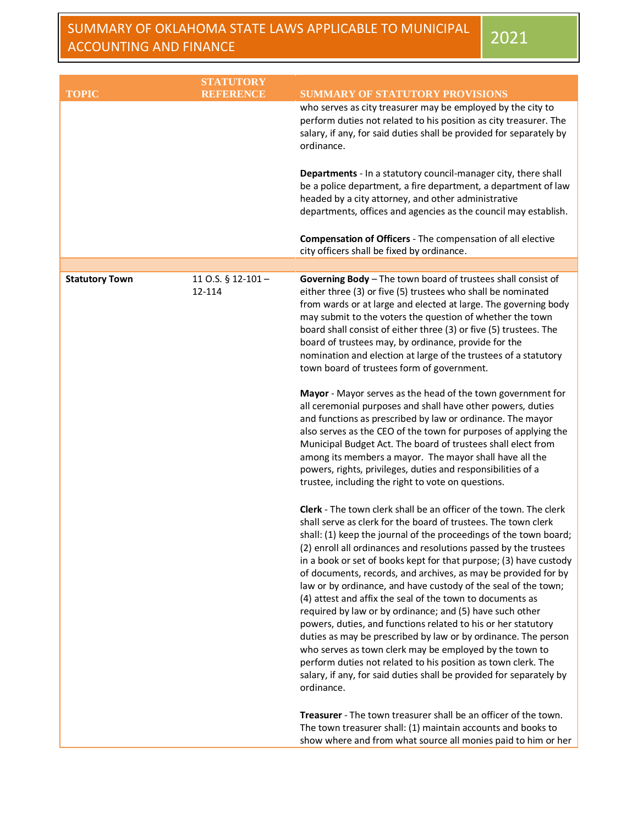|                       | <b>STATUTORY</b>                |                                                                                                                                                                                                                                                                                                                                                                                                                                                                                                                                                                                                                                                                                                                                                                                                                                                                                                                                                                    |
|-----------------------|---------------------------------|--------------------------------------------------------------------------------------------------------------------------------------------------------------------------------------------------------------------------------------------------------------------------------------------------------------------------------------------------------------------------------------------------------------------------------------------------------------------------------------------------------------------------------------------------------------------------------------------------------------------------------------------------------------------------------------------------------------------------------------------------------------------------------------------------------------------------------------------------------------------------------------------------------------------------------------------------------------------|
| <b>TOPIC</b>          | <b>REFERENCE</b>                | <b>SUMMARY OF STATUTORY PROVISIONS</b>                                                                                                                                                                                                                                                                                                                                                                                                                                                                                                                                                                                                                                                                                                                                                                                                                                                                                                                             |
|                       |                                 | who serves as city treasurer may be employed by the city to<br>perform duties not related to his position as city treasurer. The<br>salary, if any, for said duties shall be provided for separately by<br>ordinance.                                                                                                                                                                                                                                                                                                                                                                                                                                                                                                                                                                                                                                                                                                                                              |
|                       |                                 | Departments - In a statutory council-manager city, there shall<br>be a police department, a fire department, a department of law<br>headed by a city attorney, and other administrative<br>departments, offices and agencies as the council may establish.                                                                                                                                                                                                                                                                                                                                                                                                                                                                                                                                                                                                                                                                                                         |
|                       |                                 | Compensation of Officers - The compensation of all elective<br>city officers shall be fixed by ordinance.                                                                                                                                                                                                                                                                                                                                                                                                                                                                                                                                                                                                                                                                                                                                                                                                                                                          |
|                       |                                 |                                                                                                                                                                                                                                                                                                                                                                                                                                                                                                                                                                                                                                                                                                                                                                                                                                                                                                                                                                    |
| <b>Statutory Town</b> | 11 O.S. $\S$ 12-101 -<br>12-114 | Governing Body - The town board of trustees shall consist of<br>either three (3) or five (5) trustees who shall be nominated<br>from wards or at large and elected at large. The governing body<br>may submit to the voters the question of whether the town<br>board shall consist of either three (3) or five (5) trustees. The<br>board of trustees may, by ordinance, provide for the<br>nomination and election at large of the trustees of a statutory<br>town board of trustees form of government.<br>Mayor - Mayor serves as the head of the town government for<br>all ceremonial purposes and shall have other powers, duties<br>and functions as prescribed by law or ordinance. The mayor                                                                                                                                                                                                                                                             |
|                       |                                 | also serves as the CEO of the town for purposes of applying the<br>Municipal Budget Act. The board of trustees shall elect from<br>among its members a mayor. The mayor shall have all the<br>powers, rights, privileges, duties and responsibilities of a<br>trustee, including the right to vote on questions.                                                                                                                                                                                                                                                                                                                                                                                                                                                                                                                                                                                                                                                   |
|                       |                                 | Clerk - The town clerk shall be an officer of the town. The clerk<br>shall serve as clerk for the board of trustees. The town clerk<br>shall: (1) keep the journal of the proceedings of the town board;<br>(2) enroll all ordinances and resolutions passed by the trustees<br>in a book or set of books kept for that purpose; (3) have custody<br>of documents, records, and archives, as may be provided for by<br>law or by ordinance, and have custody of the seal of the town;<br>(4) attest and affix the seal of the town to documents as<br>required by law or by ordinance; and (5) have such other<br>powers, duties, and functions related to his or her statutory<br>duties as may be prescribed by law or by ordinance. The person<br>who serves as town clerk may be employed by the town to<br>perform duties not related to his position as town clerk. The<br>salary, if any, for said duties shall be provided for separately by<br>ordinance. |
|                       |                                 | Treasurer - The town treasurer shall be an officer of the town.<br>The town treasurer shall: (1) maintain accounts and books to<br>show where and from what source all monies paid to him or her                                                                                                                                                                                                                                                                                                                                                                                                                                                                                                                                                                                                                                                                                                                                                                   |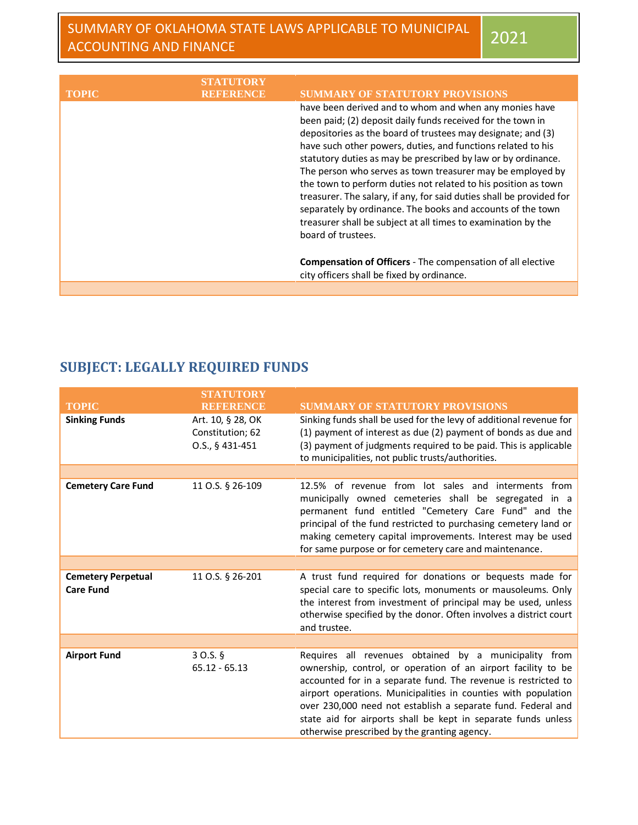| <b>TOPIC</b> | STATUT<br>REE BREAD | <b>SUMMARY OF STATUTORY PROVISIONS</b>                                                                                                                                                                                                                                                                                                                                                                                                                                                                                                                                                                                                                                               |
|--------------|---------------------|--------------------------------------------------------------------------------------------------------------------------------------------------------------------------------------------------------------------------------------------------------------------------------------------------------------------------------------------------------------------------------------------------------------------------------------------------------------------------------------------------------------------------------------------------------------------------------------------------------------------------------------------------------------------------------------|
|              |                     | have been derived and to whom and when any monies have<br>been paid; (2) deposit daily funds received for the town in<br>depositories as the board of trustees may designate; and (3)<br>have such other powers, duties, and functions related to his<br>statutory duties as may be prescribed by law or by ordinance.<br>The person who serves as town treasurer may be employed by<br>the town to perform duties not related to his position as town<br>treasurer. The salary, if any, for said duties shall be provided for<br>separately by ordinance. The books and accounts of the town<br>treasurer shall be subject at all times to examination by the<br>board of trustees. |
|              |                     | <b>Compensation of Officers</b> - The compensation of all elective<br>city officers shall be fixed by ordinance.                                                                                                                                                                                                                                                                                                                                                                                                                                                                                                                                                                     |
|              |                     |                                                                                                                                                                                                                                                                                                                                                                                                                                                                                                                                                                                                                                                                                      |

### **SUBJECT: LEGALLY REQUIRED FUNDS**

|                                               | <b>STATUTORY</b>                                         |                                                                                                                                                                                                                                                                                                                                                                                                                                             |
|-----------------------------------------------|----------------------------------------------------------|---------------------------------------------------------------------------------------------------------------------------------------------------------------------------------------------------------------------------------------------------------------------------------------------------------------------------------------------------------------------------------------------------------------------------------------------|
| <b>TOPIC</b>                                  | <b>REFERENCE</b>                                         | <b>SUMMARY OF STATUTORY PROVISIONS</b>                                                                                                                                                                                                                                                                                                                                                                                                      |
| <b>Sinking Funds</b>                          | Art. 10, § 28, OK<br>Constitution; 62<br>O.S., § 431-451 | Sinking funds shall be used for the levy of additional revenue for<br>(1) payment of interest as due (2) payment of bonds as due and<br>(3) payment of judgments required to be paid. This is applicable<br>to municipalities, not public trusts/authorities.                                                                                                                                                                               |
|                                               |                                                          |                                                                                                                                                                                                                                                                                                                                                                                                                                             |
| <b>Cemetery Care Fund</b>                     | 11 O.S. § 26-109                                         | 12.5% of revenue from lot sales and interments<br>from<br>municipally owned cemeteries shall be segregated in a<br>permanent fund entitled "Cemetery Care Fund" and the<br>principal of the fund restricted to purchasing cemetery land or<br>making cemetery capital improvements. Interest may be used<br>for same purpose or for cemetery care and maintenance.                                                                          |
|                                               |                                                          |                                                                                                                                                                                                                                                                                                                                                                                                                                             |
| <b>Cemetery Perpetual</b><br><b>Care Fund</b> | 11 O.S. § 26-201                                         | A trust fund required for donations or bequests made for<br>special care to specific lots, monuments or mausoleums. Only<br>the interest from investment of principal may be used, unless<br>otherwise specified by the donor. Often involves a district court<br>and trustee.                                                                                                                                                              |
|                                               |                                                          |                                                                                                                                                                                                                                                                                                                                                                                                                                             |
| <b>Airport Fund</b>                           | $3$ O.S. §<br>$65.12 - 65.13$                            | Requires all revenues obtained by a municipality from<br>ownership, control, or operation of an airport facility to be<br>accounted for in a separate fund. The revenue is restricted to<br>airport operations. Municipalities in counties with population<br>over 230,000 need not establish a separate fund. Federal and<br>state aid for airports shall be kept in separate funds unless<br>otherwise prescribed by the granting agency. |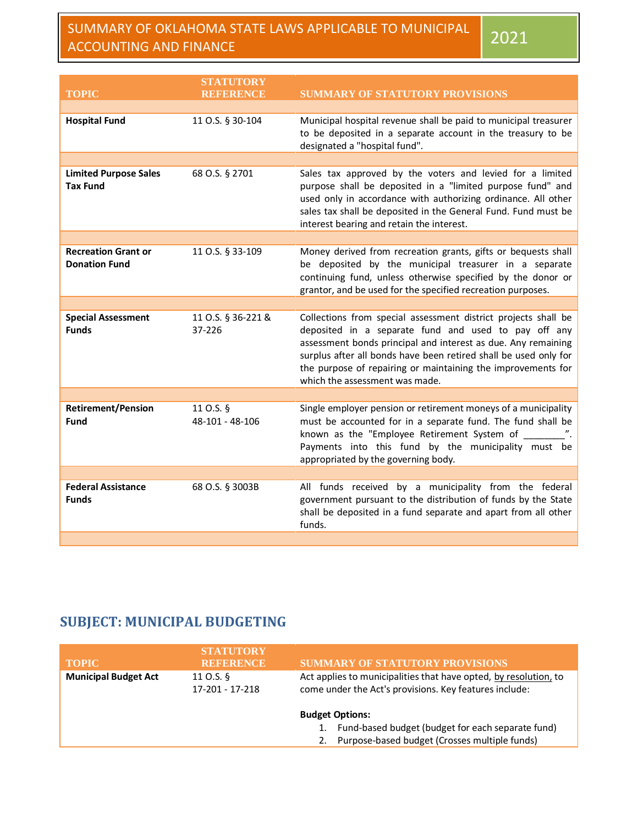#### SUMMARY OF OKLAHOMA STATE LAWS APPLICABLE TO MUNICIPAL SUMINIARY OF OKLAHOMA STATE LAWS APPLICABLE TO MONICIPAL 2021

| <b>TOPIC</b>                                       | <b>STATUTORY</b><br><b>REFERENCE</b> | <b>SUMMARY OF STATUTORY PROVISIONS</b>                                                                                                                                                                                                                                                                                                                        |
|----------------------------------------------------|--------------------------------------|---------------------------------------------------------------------------------------------------------------------------------------------------------------------------------------------------------------------------------------------------------------------------------------------------------------------------------------------------------------|
|                                                    |                                      |                                                                                                                                                                                                                                                                                                                                                               |
| <b>Hospital Fund</b>                               | 11 O.S. § 30-104                     | Municipal hospital revenue shall be paid to municipal treasurer<br>to be deposited in a separate account in the treasury to be<br>designated a "hospital fund".                                                                                                                                                                                               |
|                                                    |                                      |                                                                                                                                                                                                                                                                                                                                                               |
| <b>Limited Purpose Sales</b><br><b>Tax Fund</b>    | 68 O.S. § 2701                       | Sales tax approved by the voters and levied for a limited<br>purpose shall be deposited in a "limited purpose fund" and<br>used only in accordance with authorizing ordinance. All other<br>sales tax shall be deposited in the General Fund. Fund must be<br>interest bearing and retain the interest.                                                       |
|                                                    |                                      |                                                                                                                                                                                                                                                                                                                                                               |
| <b>Recreation Grant or</b><br><b>Donation Fund</b> | 11 O.S. § 33-109                     | Money derived from recreation grants, gifts or bequests shall<br>be deposited by the municipal treasurer in a separate<br>continuing fund, unless otherwise specified by the donor or<br>grantor, and be used for the specified recreation purposes.                                                                                                          |
|                                                    |                                      |                                                                                                                                                                                                                                                                                                                                                               |
| <b>Special Assessment</b><br><b>Funds</b>          | 11 O.S. § 36-221 &<br>37-226         | Collections from special assessment district projects shall be<br>deposited in a separate fund and used to pay off any<br>assessment bonds principal and interest as due. Any remaining<br>surplus after all bonds have been retired shall be used only for<br>the purpose of repairing or maintaining the improvements for<br>which the assessment was made. |
|                                                    |                                      |                                                                                                                                                                                                                                                                                                                                                               |
| <b>Retirement/Pension</b><br><b>Fund</b>           | 11 O.S. §<br>48-101 - 48-106         | Single employer pension or retirement moneys of a municipality<br>must be accounted for in a separate fund. The fund shall be<br>known as the "Employee Retirement System of<br>Payments into this fund by the municipality must be<br>appropriated by the governing body.                                                                                    |
|                                                    |                                      |                                                                                                                                                                                                                                                                                                                                                               |
| <b>Federal Assistance</b><br><b>Funds</b>          | 68 O.S. § 3003B                      | All funds received by a municipality from the federal<br>government pursuant to the distribution of funds by the State<br>shall be deposited in a fund separate and apart from all other<br>funds.                                                                                                                                                            |
|                                                    |                                      |                                                                                                                                                                                                                                                                                                                                                               |

### **SUBJECT: MUNICIPAL BUDGETING**

| <b>TOPIC</b>                | <b>STATUTORY</b><br><b>REFERENCE</b> | <b>SUMMARY OF STATUTORY PROVISIONS</b>                                                                                     |
|-----------------------------|--------------------------------------|----------------------------------------------------------------------------------------------------------------------------|
| <b>Municipal Budget Act</b> | 11 $0.5.$ §<br>17-201 - 17-218       | Act applies to municipalities that have opted, by resolution, to<br>come under the Act's provisions. Key features include: |
|                             |                                      | <b>Budget Options:</b>                                                                                                     |
|                             |                                      | Fund-based budget (budget for each separate fund)<br>1.<br>Purpose-based budget (Crosses multiple funds)                   |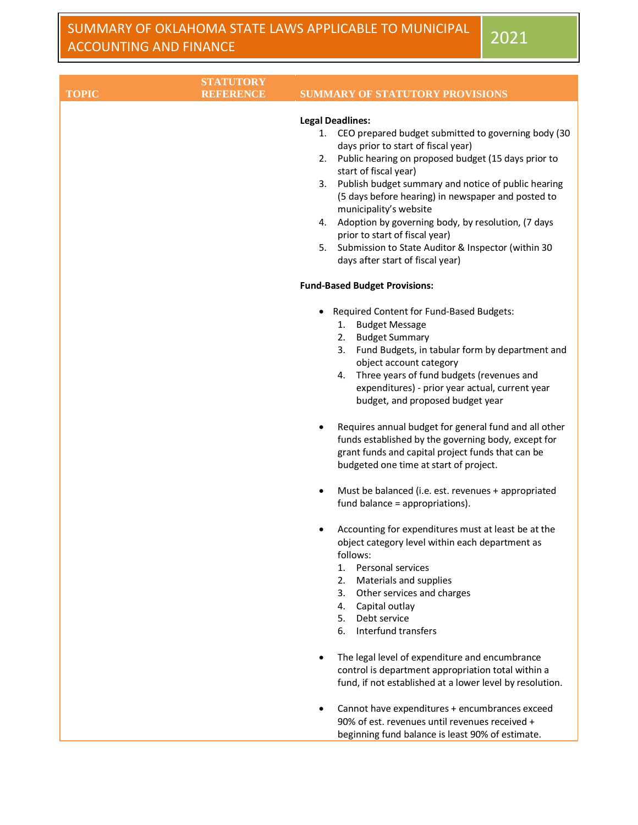| <b>TOPIC</b> | <b>STATUTORY</b><br><b>REFERENCE</b> | <b>SUMMARY OF STATUTORY PROVISIONS</b>                                                                                                                                                                                                                                                                                                                                                                                                                                                                                                                                                                                                                                                                                                                                                                                         |
|--------------|--------------------------------------|--------------------------------------------------------------------------------------------------------------------------------------------------------------------------------------------------------------------------------------------------------------------------------------------------------------------------------------------------------------------------------------------------------------------------------------------------------------------------------------------------------------------------------------------------------------------------------------------------------------------------------------------------------------------------------------------------------------------------------------------------------------------------------------------------------------------------------|
|              |                                      | <b>Legal Deadlines:</b><br>1. CEO prepared budget submitted to governing body (30<br>days prior to start of fiscal year)<br>2. Public hearing on proposed budget (15 days prior to<br>start of fiscal year)<br>3. Publish budget summary and notice of public hearing<br>(5 days before hearing) in newspaper and posted to<br>municipality's website<br>4. Adoption by governing body, by resolution, (7 days<br>prior to start of fiscal year)<br>5. Submission to State Auditor & Inspector (within 30                                                                                                                                                                                                                                                                                                                      |
|              |                                      | days after start of fiscal year)<br><b>Fund-Based Budget Provisions:</b>                                                                                                                                                                                                                                                                                                                                                                                                                                                                                                                                                                                                                                                                                                                                                       |
|              |                                      | Required Content for Fund-Based Budgets:<br>$\bullet$<br>1. Budget Message<br><b>Budget Summary</b><br>2.<br>Fund Budgets, in tabular form by department and<br>3.<br>object account category<br>4. Three years of fund budgets (revenues and<br>expenditures) - prior year actual, current year<br>budget, and proposed budget year<br>Requires annual budget for general fund and all other<br>funds established by the governing body, except for<br>grant funds and capital project funds that can be<br>budgeted one time at start of project.<br>Must be balanced (i.e. est. revenues + appropriated<br>fund balance = appropriations).<br>Accounting for expenditures must at least be at the<br>object category level within each department as<br>follows:<br>Personal services<br>1.<br>Materials and supplies<br>2. |
|              |                                      | Other services and charges<br>3.<br>Capital outlay<br>4.<br>Debt service<br>5.<br>Interfund transfers<br>6.<br>The legal level of expenditure and encumbrance<br>control is department appropriation total within a                                                                                                                                                                                                                                                                                                                                                                                                                                                                                                                                                                                                            |
|              |                                      | fund, if not established at a lower level by resolution.<br>Cannot have expenditures + encumbrances exceed<br>90% of est. revenues until revenues received +<br>beginning fund balance is least 90% of estimate.                                                                                                                                                                                                                                                                                                                                                                                                                                                                                                                                                                                                               |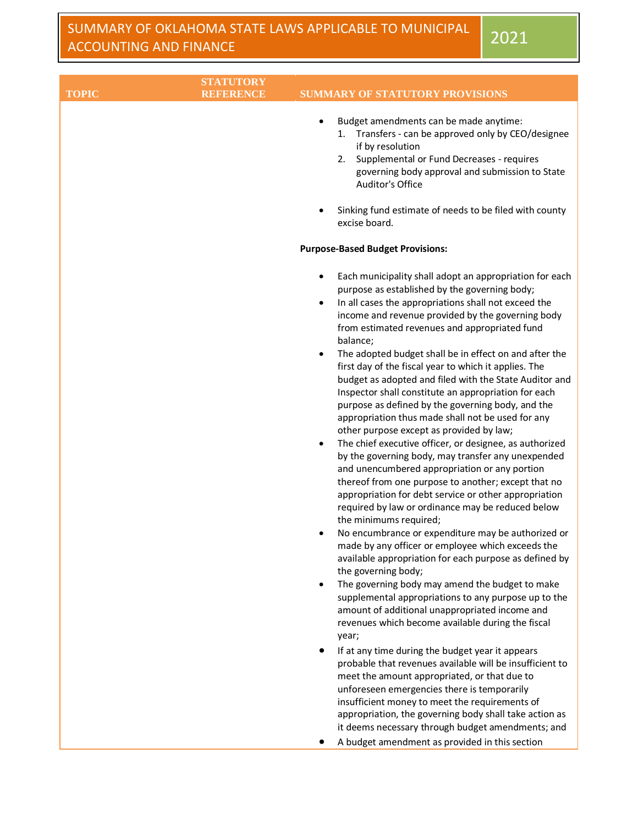|              | <b>STATUTORY</b> |                                                                                                                                                                                                                                                                                                                                                                                                                                                                                                                                                                                                                                                                                                                                                                                                                                                                                                                                                                                                                                                                                                                                                                                                                                                                                                                                                                                                                                                                                                                                                                                                                                                                                                                                                                                                                                                                                                                          |
|--------------|------------------|--------------------------------------------------------------------------------------------------------------------------------------------------------------------------------------------------------------------------------------------------------------------------------------------------------------------------------------------------------------------------------------------------------------------------------------------------------------------------------------------------------------------------------------------------------------------------------------------------------------------------------------------------------------------------------------------------------------------------------------------------------------------------------------------------------------------------------------------------------------------------------------------------------------------------------------------------------------------------------------------------------------------------------------------------------------------------------------------------------------------------------------------------------------------------------------------------------------------------------------------------------------------------------------------------------------------------------------------------------------------------------------------------------------------------------------------------------------------------------------------------------------------------------------------------------------------------------------------------------------------------------------------------------------------------------------------------------------------------------------------------------------------------------------------------------------------------------------------------------------------------------------------------------------------------|
| <b>TOPIC</b> | <b>REFERENCE</b> | <b>SUMMARY OF STATUTORY PROVISIONS</b>                                                                                                                                                                                                                                                                                                                                                                                                                                                                                                                                                                                                                                                                                                                                                                                                                                                                                                                                                                                                                                                                                                                                                                                                                                                                                                                                                                                                                                                                                                                                                                                                                                                                                                                                                                                                                                                                                   |
|              |                  | Budget amendments can be made anytime:<br>$\bullet$<br>Transfers - can be approved only by CEO/designee<br>1.<br>if by resolution<br>2. Supplemental or Fund Decreases - requires<br>governing body approval and submission to State<br>Auditor's Office<br>Sinking fund estimate of needs to be filed with county<br>excise board.                                                                                                                                                                                                                                                                                                                                                                                                                                                                                                                                                                                                                                                                                                                                                                                                                                                                                                                                                                                                                                                                                                                                                                                                                                                                                                                                                                                                                                                                                                                                                                                      |
|              |                  |                                                                                                                                                                                                                                                                                                                                                                                                                                                                                                                                                                                                                                                                                                                                                                                                                                                                                                                                                                                                                                                                                                                                                                                                                                                                                                                                                                                                                                                                                                                                                                                                                                                                                                                                                                                                                                                                                                                          |
|              |                  | <b>Purpose-Based Budget Provisions:</b>                                                                                                                                                                                                                                                                                                                                                                                                                                                                                                                                                                                                                                                                                                                                                                                                                                                                                                                                                                                                                                                                                                                                                                                                                                                                                                                                                                                                                                                                                                                                                                                                                                                                                                                                                                                                                                                                                  |
|              |                  | Each municipality shall adopt an appropriation for each<br>$\bullet$<br>purpose as established by the governing body;<br>In all cases the appropriations shall not exceed the<br>$\bullet$<br>income and revenue provided by the governing body<br>from estimated revenues and appropriated fund<br>balance;<br>The adopted budget shall be in effect on and after the<br>٠<br>first day of the fiscal year to which it applies. The<br>budget as adopted and filed with the State Auditor and<br>Inspector shall constitute an appropriation for each<br>purpose as defined by the governing body, and the<br>appropriation thus made shall not be used for any<br>other purpose except as provided by law;<br>The chief executive officer, or designee, as authorized<br>٠<br>by the governing body, may transfer any unexpended<br>and unencumbered appropriation or any portion<br>thereof from one purpose to another; except that no<br>appropriation for debt service or other appropriation<br>required by law or ordinance may be reduced below<br>the minimums required;<br>No encumbrance or expenditure may be authorized or<br>٠<br>made by any officer or employee which exceeds the<br>available appropriation for each purpose as defined by<br>the governing body;<br>The governing body may amend the budget to make<br>$\bullet$<br>supplemental appropriations to any purpose up to the<br>amount of additional unappropriated income and<br>revenues which become available during the fiscal<br>year;<br>If at any time during the budget year it appears<br>$\bullet$<br>probable that revenues available will be insufficient to<br>meet the amount appropriated, or that due to<br>unforeseen emergencies there is temporarily<br>insufficient money to meet the requirements of<br>appropriation, the governing body shall take action as<br>it deems necessary through budget amendments; and |
|              |                  | A budget amendment as provided in this section                                                                                                                                                                                                                                                                                                                                                                                                                                                                                                                                                                                                                                                                                                                                                                                                                                                                                                                                                                                                                                                                                                                                                                                                                                                                                                                                                                                                                                                                                                                                                                                                                                                                                                                                                                                                                                                                           |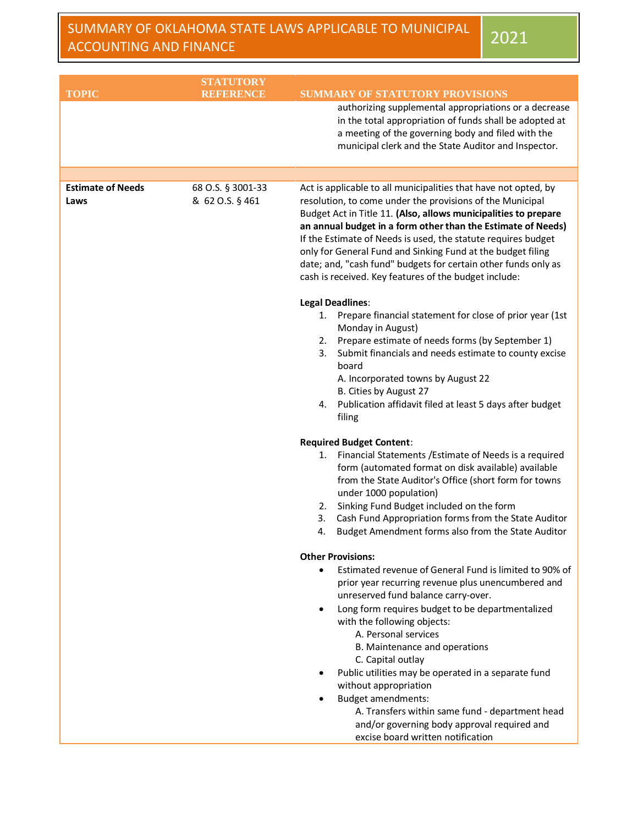|                                  | <b>STATUTORY</b>                     |                                                                                                                                                                                                                                                                                                                                                                                                                                                                                                                            |
|----------------------------------|--------------------------------------|----------------------------------------------------------------------------------------------------------------------------------------------------------------------------------------------------------------------------------------------------------------------------------------------------------------------------------------------------------------------------------------------------------------------------------------------------------------------------------------------------------------------------|
| <b>TOPIC</b>                     | <b>REFERENCE</b>                     | <b>SUMMARY OF STATUTORY PROVISIONS</b>                                                                                                                                                                                                                                                                                                                                                                                                                                                                                     |
|                                  |                                      | authorizing supplemental appropriations or a decrease<br>in the total appropriation of funds shall be adopted at<br>a meeting of the governing body and filed with the<br>municipal clerk and the State Auditor and Inspector.                                                                                                                                                                                                                                                                                             |
|                                  |                                      |                                                                                                                                                                                                                                                                                                                                                                                                                                                                                                                            |
| <b>Estimate of Needs</b><br>Laws | 68 O.S. § 3001-33<br>& 62 O.S. § 461 | Act is applicable to all municipalities that have not opted, by<br>resolution, to come under the provisions of the Municipal<br>Budget Act in Title 11. (Also, allows municipalities to prepare<br>an annual budget in a form other than the Estimate of Needs)<br>If the Estimate of Needs is used, the statute requires budget<br>only for General Fund and Sinking Fund at the budget filing<br>date; and, "cash fund" budgets for certain other funds only as<br>cash is received. Key features of the budget include: |
|                                  |                                      | <b>Legal Deadlines:</b>                                                                                                                                                                                                                                                                                                                                                                                                                                                                                                    |
|                                  |                                      | Prepare financial statement for close of prior year (1st<br>1.<br>Monday in August)<br>Prepare estimate of needs forms (by September 1)<br>2.<br>Submit financials and needs estimate to county excise<br>3.<br>board<br>A. Incorporated towns by August 22<br>B. Cities by August 27<br>Publication affidavit filed at least 5 days after budget<br>4.<br>filing                                                                                                                                                          |
|                                  |                                      | <b>Required Budget Content:</b>                                                                                                                                                                                                                                                                                                                                                                                                                                                                                            |
|                                  |                                      | Financial Statements / Estimate of Needs is a required<br>1.<br>form (automated format on disk available) available<br>from the State Auditor's Office (short form for towns<br>under 1000 population)<br>Sinking Fund Budget included on the form<br>2.<br>Cash Fund Appropriation forms from the State Auditor<br>3.<br>Budget Amendment forms also from the State Auditor<br>4.                                                                                                                                         |
|                                  |                                      |                                                                                                                                                                                                                                                                                                                                                                                                                                                                                                                            |
|                                  |                                      | <b>Other Provisions:</b>                                                                                                                                                                                                                                                                                                                                                                                                                                                                                                   |
|                                  |                                      | Estimated revenue of General Fund is limited to 90% of<br>$\bullet$<br>prior year recurring revenue plus unencumbered and<br>unreserved fund balance carry-over.                                                                                                                                                                                                                                                                                                                                                           |
|                                  |                                      | Long form requires budget to be departmentalized<br>$\bullet$<br>with the following objects:<br>A. Personal services                                                                                                                                                                                                                                                                                                                                                                                                       |
|                                  |                                      | B. Maintenance and operations<br>C. Capital outlay                                                                                                                                                                                                                                                                                                                                                                                                                                                                         |
|                                  |                                      | Public utilities may be operated in a separate fund<br>without appropriation                                                                                                                                                                                                                                                                                                                                                                                                                                               |
|                                  |                                      | <b>Budget amendments:</b><br>A. Transfers within same fund - department head<br>and/or governing body approval required and<br>excise board written notification                                                                                                                                                                                                                                                                                                                                                           |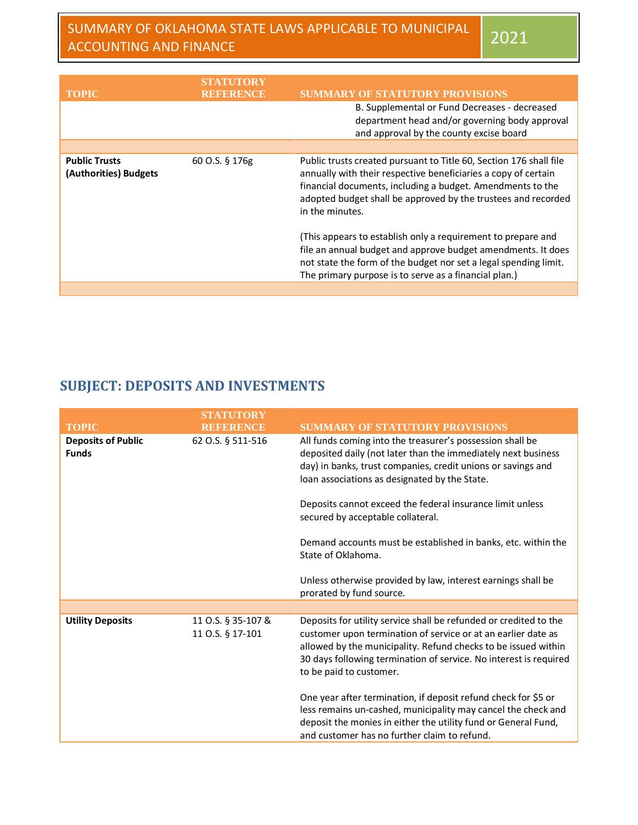| <b>TOPIC</b>                                  | STATUTORY<br>R E ERENOE | <b>SUMMARY OF STATUTORY PROVISIONS</b><br>B. Supplemental or Fund Decreases - decreased<br>department head and/or governing body approval<br>and approval by the county excise board                                                                                                                                                                   |
|-----------------------------------------------|-------------------------|--------------------------------------------------------------------------------------------------------------------------------------------------------------------------------------------------------------------------------------------------------------------------------------------------------------------------------------------------------|
| <b>Public Trusts</b><br>(Authorities) Budgets | 60 O.S. § 176g          | Public trusts created pursuant to Title 60, Section 176 shall file<br>annually with their respective beneficiaries a copy of certain<br>financial documents, including a budget. Amendments to the<br>adopted budget shall be approved by the trustees and recorded<br>in the minutes.<br>(This appears to establish only a requirement to prepare and |
|                                               |                         | file an annual budget and approve budget amendments. It does<br>not state the form of the budget nor set a legal spending limit.<br>The primary purpose is to serve as a financial plan.)                                                                                                                                                              |

### **SUBJECT: DEPOSITS AND INVESTMENTS**

|                                           | <b>STATUTORY</b>                       |                                                                                                                                                                                                                                                                                                                                                                                                                                      |
|-------------------------------------------|----------------------------------------|--------------------------------------------------------------------------------------------------------------------------------------------------------------------------------------------------------------------------------------------------------------------------------------------------------------------------------------------------------------------------------------------------------------------------------------|
| <b>TOPIC</b>                              | <b>REFERENCE</b>                       | <b>SUMMARY OF STATUTORY PROVISIONS</b>                                                                                                                                                                                                                                                                                                                                                                                               |
| <b>Deposits of Public</b><br><b>Funds</b> | 62 O.S. § 511-516                      | All funds coming into the treasurer's possession shall be<br>deposited daily (not later than the immediately next business<br>day) in banks, trust companies, credit unions or savings and<br>loan associations as designated by the State.<br>Deposits cannot exceed the federal insurance limit unless<br>secured by acceptable collateral.<br>Demand accounts must be established in banks, etc. within the<br>State of Oklahoma. |
|                                           |                                        | Unless otherwise provided by law, interest earnings shall be<br>prorated by fund source.                                                                                                                                                                                                                                                                                                                                             |
|                                           |                                        |                                                                                                                                                                                                                                                                                                                                                                                                                                      |
| <b>Utility Deposits</b>                   | 11 O.S. § 35-107 &<br>11 O.S. § 17-101 | Deposits for utility service shall be refunded or credited to the<br>customer upon termination of service or at an earlier date as<br>allowed by the municipality. Refund checks to be issued within<br>30 days following termination of service. No interest is required<br>to be paid to customer.                                                                                                                                 |
|                                           |                                        | One year after termination, if deposit refund check for \$5 or<br>less remains un-cashed, municipality may cancel the check and<br>deposit the monies in either the utility fund or General Fund,<br>and customer has no further claim to refund.                                                                                                                                                                                    |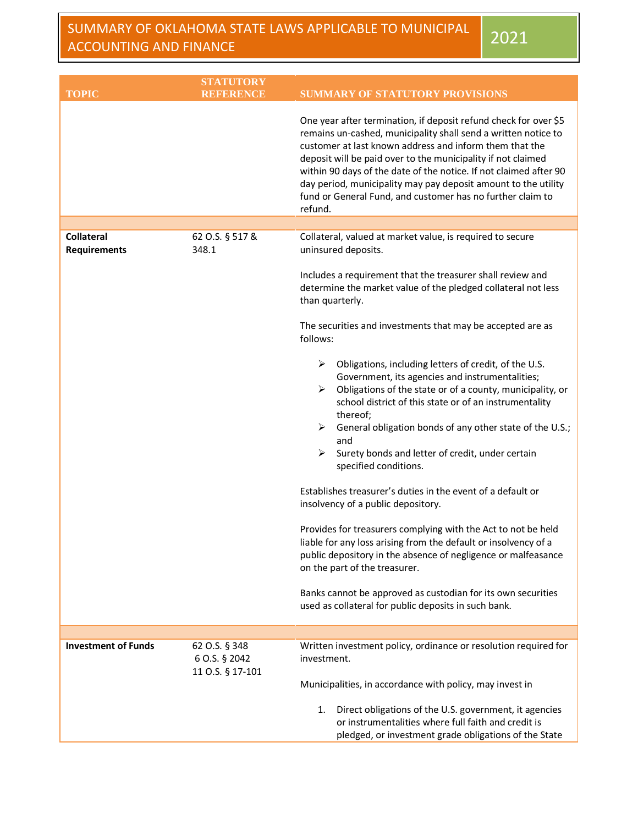| <b>TOPIC</b>               | <b>STATUTORY</b><br><b>REFERENCE</b> | <b>SUMMARY OF STATUTORY PROVISIONS</b>                                                                                                                                                                                                                                                                                                                                                                                                                                                                                                                                                                                                                                                                                                                                                                                               |
|----------------------------|--------------------------------------|--------------------------------------------------------------------------------------------------------------------------------------------------------------------------------------------------------------------------------------------------------------------------------------------------------------------------------------------------------------------------------------------------------------------------------------------------------------------------------------------------------------------------------------------------------------------------------------------------------------------------------------------------------------------------------------------------------------------------------------------------------------------------------------------------------------------------------------|
|                            |                                      | One year after termination, if deposit refund check for over \$5<br>remains un-cashed, municipality shall send a written notice to<br>customer at last known address and inform them that the<br>deposit will be paid over to the municipality if not claimed<br>within 90 days of the date of the notice. If not claimed after 90<br>day period, municipality may pay deposit amount to the utility<br>fund or General Fund, and customer has no further claim to<br>refund.                                                                                                                                                                                                                                                                                                                                                        |
| <b>Collateral</b>          |                                      |                                                                                                                                                                                                                                                                                                                                                                                                                                                                                                                                                                                                                                                                                                                                                                                                                                      |
| <b>Requirements</b>        | 62 O.S. § 517 &<br>348.1             | Collateral, valued at market value, is required to secure<br>uninsured deposits.<br>Includes a requirement that the treasurer shall review and<br>determine the market value of the pledged collateral not less<br>than quarterly.<br>The securities and investments that may be accepted are as<br>follows:<br>Obligations, including letters of credit, of the U.S.<br>➤<br>Government, its agencies and instrumentalities;<br>Obligations of the state or of a county, municipality, or<br>➤<br>school district of this state or of an instrumentality<br>thereof;<br>General obligation bonds of any other state of the U.S.;<br>➤<br>and<br>Surety bonds and letter of credit, under certain<br>➤<br>specified conditions.<br>Establishes treasurer's duties in the event of a default or<br>insolvency of a public depository. |
|                            |                                      | Provides for treasurers complying with the Act to not be held<br>liable for any loss arising from the default or insolvency of a<br>public depository in the absence of negligence or malfeasance<br>on the part of the treasurer.<br>Banks cannot be approved as custodian for its own securities<br>used as collateral for public deposits in such bank.                                                                                                                                                                                                                                                                                                                                                                                                                                                                           |
| <b>Investment of Funds</b> | 62 O.S. § 348                        | Written investment policy, ordinance or resolution required for                                                                                                                                                                                                                                                                                                                                                                                                                                                                                                                                                                                                                                                                                                                                                                      |
|                            | 6 O.S. § 2042<br>11 O.S. § 17-101    | investment.<br>Municipalities, in accordance with policy, may invest in<br>Direct obligations of the U.S. government, it agencies<br>1.<br>or instrumentalities where full faith and credit is<br>pledged, or investment grade obligations of the State                                                                                                                                                                                                                                                                                                                                                                                                                                                                                                                                                                              |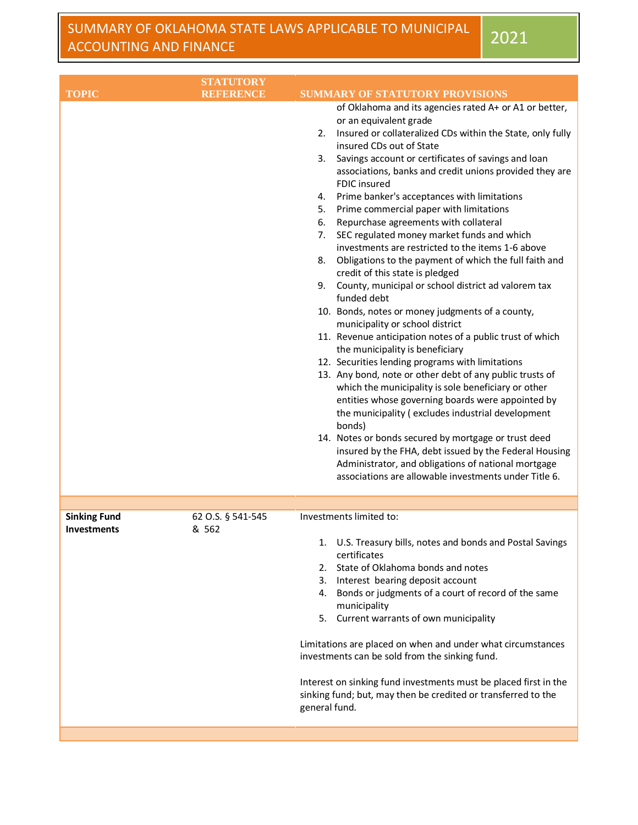### SUMMARY OF OKLAHOMA STATE LAWS APPLICABLE TO MUNICIPAL SUMINIARY OF OKLAHOMA STATE LAWS APPLICABLE TO MONICIPAL 2021

| <b>TOPIC</b>                              | STATUTORY                  | <b>SUMMARY OF STATUTORY PROVISIONS</b>                                                                                                                                                                                                                                                                                                                                                                                                                                                                                                                                                                                                                                                                                                                                                                                                                                                                                                                                                                                                                                                                                                                                                                                                                                                                                                                                                                                                                                                    |
|-------------------------------------------|----------------------------|-------------------------------------------------------------------------------------------------------------------------------------------------------------------------------------------------------------------------------------------------------------------------------------------------------------------------------------------------------------------------------------------------------------------------------------------------------------------------------------------------------------------------------------------------------------------------------------------------------------------------------------------------------------------------------------------------------------------------------------------------------------------------------------------------------------------------------------------------------------------------------------------------------------------------------------------------------------------------------------------------------------------------------------------------------------------------------------------------------------------------------------------------------------------------------------------------------------------------------------------------------------------------------------------------------------------------------------------------------------------------------------------------------------------------------------------------------------------------------------------|
|                                           | <b>REFERENCE</b>           | of Oklahoma and its agencies rated A+ or A1 or better,<br>or an equivalent grade<br>Insured or collateralized CDs within the State, only fully<br>2.<br>insured CDs out of State<br>Savings account or certificates of savings and loan<br>3.<br>associations, banks and credit unions provided they are<br>FDIC insured<br>Prime banker's acceptances with limitations<br>4.<br>Prime commercial paper with limitations<br>5.<br>Repurchase agreements with collateral<br>6.<br>SEC regulated money market funds and which<br>7.<br>investments are restricted to the items 1-6 above<br>Obligations to the payment of which the full faith and<br>8.<br>credit of this state is pledged<br>9.<br>County, municipal or school district ad valorem tax<br>funded debt<br>10. Bonds, notes or money judgments of a county,<br>municipality or school district<br>11. Revenue anticipation notes of a public trust of which<br>the municipality is beneficiary<br>12. Securities lending programs with limitations<br>13. Any bond, note or other debt of any public trusts of<br>which the municipality is sole beneficiary or other<br>entities whose governing boards were appointed by<br>the municipality (excludes industrial development<br>bonds)<br>14. Notes or bonds secured by mortgage or trust deed<br>insured by the FHA, debt issued by the Federal Housing<br>Administrator, and obligations of national mortgage<br>associations are allowable investments under Title 6. |
|                                           |                            |                                                                                                                                                                                                                                                                                                                                                                                                                                                                                                                                                                                                                                                                                                                                                                                                                                                                                                                                                                                                                                                                                                                                                                                                                                                                                                                                                                                                                                                                                           |
| <b>Sinking Fund</b><br><b>Investments</b> | 62 O.S. § 541-545<br>& 562 | Investments limited to:<br>1. U.S. Treasury bills, notes and bonds and Postal Savings<br>certificates<br>2. State of Oklahoma bonds and notes<br>3. Interest bearing deposit account<br>4. Bonds or judgments of a court of record of the same<br>municipality<br>5. Current warrants of own municipality<br>Limitations are placed on when and under what circumstances<br>investments can be sold from the sinking fund.<br>Interest on sinking fund investments must be placed first in the<br>sinking fund; but, may then be credited or transferred to the<br>general fund.                                                                                                                                                                                                                                                                                                                                                                                                                                                                                                                                                                                                                                                                                                                                                                                                                                                                                                          |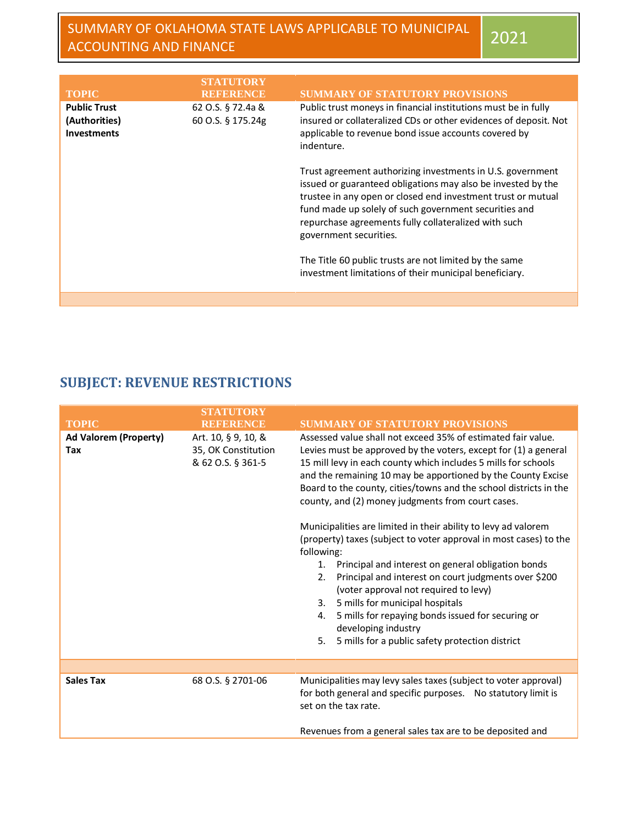| <b>TOPIC</b>                                               | STATUTORY<br><b>REFERENCE</b>          | <b>SUMMARY OF STATUTORY PROVISIONS</b>                                                                                                                                                                                                                                                                                                |
|------------------------------------------------------------|----------------------------------------|---------------------------------------------------------------------------------------------------------------------------------------------------------------------------------------------------------------------------------------------------------------------------------------------------------------------------------------|
| <b>Public Trust</b><br>(Authorities)<br><b>Investments</b> | 62 O.S. § 72.4a &<br>60 O.S. § 175.24g | Public trust moneys in financial institutions must be in fully<br>insured or collateralized CDs or other evidences of deposit. Not<br>applicable to revenue bond issue accounts covered by<br>indenture.                                                                                                                              |
|                                                            |                                        | Trust agreement authorizing investments in U.S. government<br>issued or guaranteed obligations may also be invested by the<br>trustee in any open or closed end investment trust or mutual<br>fund made up solely of such government securities and<br>repurchase agreements fully collateralized with such<br>government securities. |
|                                                            |                                        | The Title 60 public trusts are not limited by the same<br>investment limitations of their municipal beneficiary.                                                                                                                                                                                                                      |
|                                                            |                                        |                                                                                                                                                                                                                                                                                                                                       |

#### **SUBJECT: REVENUE RESTRICTIONS**

| <b>TOPIC</b>                        | <b>STATHTORY</b><br><b>REFERENCE</b>                            | <b>SUMMARY OF STATUTORY PROVISIONS</b>                                                                                                                                                                                                                                                                                                                                                                                                                                                                                                                                                                                                                                                                                                                                                                                                                                                                           |
|-------------------------------------|-----------------------------------------------------------------|------------------------------------------------------------------------------------------------------------------------------------------------------------------------------------------------------------------------------------------------------------------------------------------------------------------------------------------------------------------------------------------------------------------------------------------------------------------------------------------------------------------------------------------------------------------------------------------------------------------------------------------------------------------------------------------------------------------------------------------------------------------------------------------------------------------------------------------------------------------------------------------------------------------|
| <b>Ad Valorem (Property)</b><br>Tax | Art. 10, § 9, 10, &<br>35, OK Constitution<br>& 62 O.S. § 361-5 | Assessed value shall not exceed 35% of estimated fair value.<br>Levies must be approved by the voters, except for (1) a general<br>15 mill levy in each county which includes 5 mills for schools<br>and the remaining 10 may be apportioned by the County Excise<br>Board to the county, cities/towns and the school districts in the<br>county, and (2) money judgments from court cases.<br>Municipalities are limited in their ability to levy ad valorem<br>(property) taxes (subject to voter approval in most cases) to the<br>following:<br>1. Principal and interest on general obligation bonds<br>Principal and interest on court judgments over \$200<br>2.<br>(voter approval not required to levy)<br>5 mills for municipal hospitals<br>3 <sub>1</sub><br>5 mills for repaying bonds issued for securing or<br>4.<br>developing industry<br>5 mills for a public safety protection district<br>5. |
|                                     |                                                                 |                                                                                                                                                                                                                                                                                                                                                                                                                                                                                                                                                                                                                                                                                                                                                                                                                                                                                                                  |
| <b>Sales Tax</b>                    | 68 O.S. § 2701-06                                               | Municipalities may levy sales taxes (subject to voter approval)<br>for both general and specific purposes. No statutory limit is<br>set on the tax rate.<br>Revenues from a general sales tax are to be deposited and                                                                                                                                                                                                                                                                                                                                                                                                                                                                                                                                                                                                                                                                                            |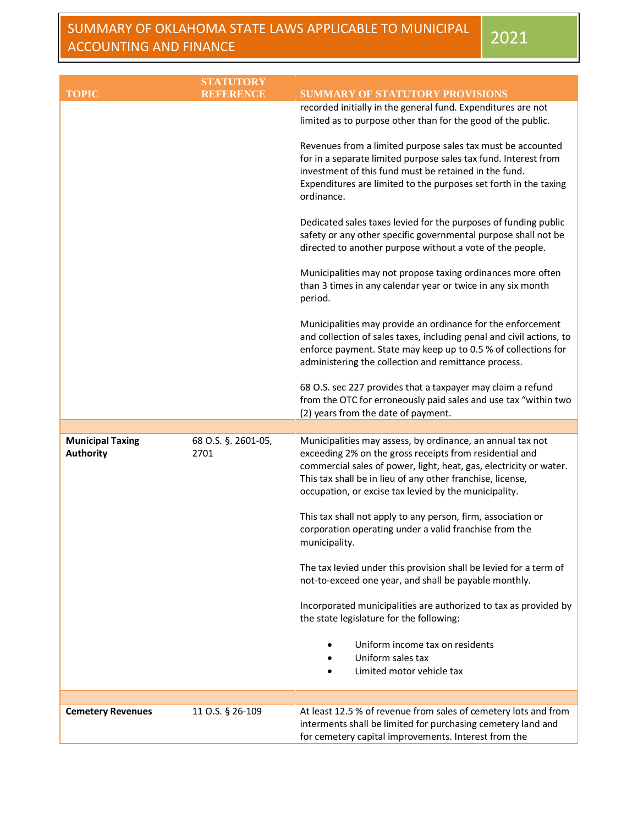| <b>TOPIC</b>                                | <b>STATUTORY</b><br><b>REFERENCE</b> | <b>SUMMARY OF STATUTORY PROVISIONS</b>                                                                                                                                                                                                                                                                             |
|---------------------------------------------|--------------------------------------|--------------------------------------------------------------------------------------------------------------------------------------------------------------------------------------------------------------------------------------------------------------------------------------------------------------------|
|                                             |                                      | recorded initially in the general fund. Expenditures are not<br>limited as to purpose other than for the good of the public.                                                                                                                                                                                       |
|                                             |                                      | Revenues from a limited purpose sales tax must be accounted<br>for in a separate limited purpose sales tax fund. Interest from<br>investment of this fund must be retained in the fund.<br>Expenditures are limited to the purposes set forth in the taxing<br>ordinance.                                          |
|                                             |                                      | Dedicated sales taxes levied for the purposes of funding public<br>safety or any other specific governmental purpose shall not be<br>directed to another purpose without a vote of the people.                                                                                                                     |
|                                             |                                      | Municipalities may not propose taxing ordinances more often<br>than 3 times in any calendar year or twice in any six month<br>period.                                                                                                                                                                              |
|                                             |                                      | Municipalities may provide an ordinance for the enforcement<br>and collection of sales taxes, including penal and civil actions, to<br>enforce payment. State may keep up to 0.5 % of collections for<br>administering the collection and remittance process.                                                      |
|                                             |                                      | 68 O.S. sec 227 provides that a taxpayer may claim a refund<br>from the OTC for erroneously paid sales and use tax "within two<br>(2) years from the date of payment.                                                                                                                                              |
|                                             |                                      |                                                                                                                                                                                                                                                                                                                    |
| <b>Municipal Taxing</b><br><b>Authority</b> | 68 O.S. §. 2601-05,<br>2701          | Municipalities may assess, by ordinance, an annual tax not<br>exceeding 2% on the gross receipts from residential and<br>commercial sales of power, light, heat, gas, electricity or water.<br>This tax shall be in lieu of any other franchise, license,<br>occupation, or excise tax levied by the municipality. |
|                                             |                                      | This tax shall not apply to any person, firm, association or<br>corporation operating under a valid franchise from the<br>municipality.                                                                                                                                                                            |
|                                             |                                      | The tax levied under this provision shall be levied for a term of<br>not-to-exceed one year, and shall be payable monthly.                                                                                                                                                                                         |
|                                             |                                      | Incorporated municipalities are authorized to tax as provided by<br>the state legislature for the following:                                                                                                                                                                                                       |
|                                             |                                      | Uniform income tax on residents<br>Uniform sales tax<br>Limited motor vehicle tax                                                                                                                                                                                                                                  |
|                                             |                                      |                                                                                                                                                                                                                                                                                                                    |
| <b>Cemetery Revenues</b>                    | 11 O.S. § 26-109                     | At least 12.5 % of revenue from sales of cemetery lots and from<br>interments shall be limited for purchasing cemetery land and<br>for cemetery capital improvements. Interest from the                                                                                                                            |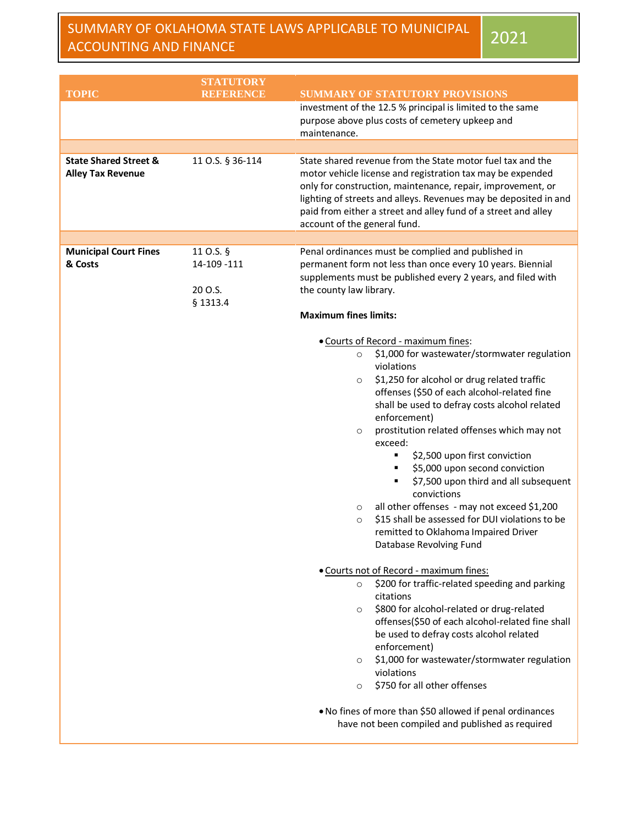| <b>TOPIC</b>                                                 | <b>STATUTORY</b><br>REFERENCE                   | <b>SUMMARY OF STATUTORY PROVISIONS</b>                                                                                                                                                                                                                                                                                                                                                                                                                                                                                                                                                                                                                                                                                                 |
|--------------------------------------------------------------|-------------------------------------------------|----------------------------------------------------------------------------------------------------------------------------------------------------------------------------------------------------------------------------------------------------------------------------------------------------------------------------------------------------------------------------------------------------------------------------------------------------------------------------------------------------------------------------------------------------------------------------------------------------------------------------------------------------------------------------------------------------------------------------------------|
|                                                              |                                                 | investment of the 12.5 % principal is limited to the same<br>purpose above plus costs of cemetery upkeep and<br>maintenance.                                                                                                                                                                                                                                                                                                                                                                                                                                                                                                                                                                                                           |
|                                                              |                                                 |                                                                                                                                                                                                                                                                                                                                                                                                                                                                                                                                                                                                                                                                                                                                        |
| <b>State Shared Street &amp;</b><br><b>Alley Tax Revenue</b> | 11 O.S. § 36-114                                | State shared revenue from the State motor fuel tax and the<br>motor vehicle license and registration tax may be expended<br>only for construction, maintenance, repair, improvement, or<br>lighting of streets and alleys. Revenues may be deposited in and<br>paid from either a street and alley fund of a street and alley<br>account of the general fund.                                                                                                                                                                                                                                                                                                                                                                          |
|                                                              |                                                 |                                                                                                                                                                                                                                                                                                                                                                                                                                                                                                                                                                                                                                                                                                                                        |
| <b>Municipal Court Fines</b><br>& Costs                      | 11 O.S. §<br>14-109 -111<br>20 O.S.<br>§ 1313.4 | Penal ordinances must be complied and published in<br>permanent form not less than once every 10 years. Biennial<br>supplements must be published every 2 years, and filed with<br>the county law library.<br><b>Maximum fines limits:</b>                                                                                                                                                                                                                                                                                                                                                                                                                                                                                             |
|                                                              |                                                 |                                                                                                                                                                                                                                                                                                                                                                                                                                                                                                                                                                                                                                                                                                                                        |
|                                                              |                                                 | . Courts of Record - maximum fines:<br>\$1,000 for wastewater/stormwater regulation<br>$\circ$<br>violations<br>\$1,250 for alcohol or drug related traffic<br>$\circ$<br>offenses (\$50 of each alcohol-related fine<br>shall be used to defray costs alcohol related<br>enforcement)<br>prostitution related offenses which may not<br>$\circ$<br>exceed:<br>\$2,500 upon first conviction<br>٠<br>\$5,000 upon second conviction<br>٠<br>\$7,500 upon third and all subsequent<br>convictions<br>all other offenses - may not exceed \$1,200<br>$\circ$<br>\$15 shall be assessed for DUI violations to be<br>$\circ$<br>remitted to Oklahoma Impaired Driver<br>Database Revolving Fund<br>. Courts not of Record - maximum fines: |
|                                                              |                                                 |                                                                                                                                                                                                                                                                                                                                                                                                                                                                                                                                                                                                                                                                                                                                        |
|                                                              |                                                 | \$200 for traffic-related speeding and parking<br>$\circ$<br>citations                                                                                                                                                                                                                                                                                                                                                                                                                                                                                                                                                                                                                                                                 |
|                                                              |                                                 | \$800 for alcohol-related or drug-related<br>$\circ$<br>offenses(\$50 of each alcohol-related fine shall<br>be used to defray costs alcohol related<br>enforcement)<br>\$1,000 for wastewater/stormwater regulation<br>$\circ$<br>violations<br>\$750 for all other offenses<br>$\circ$                                                                                                                                                                                                                                                                                                                                                                                                                                                |
|                                                              |                                                 | . No fines of more than \$50 allowed if penal ordinances<br>have not been compiled and published as required                                                                                                                                                                                                                                                                                                                                                                                                                                                                                                                                                                                                                           |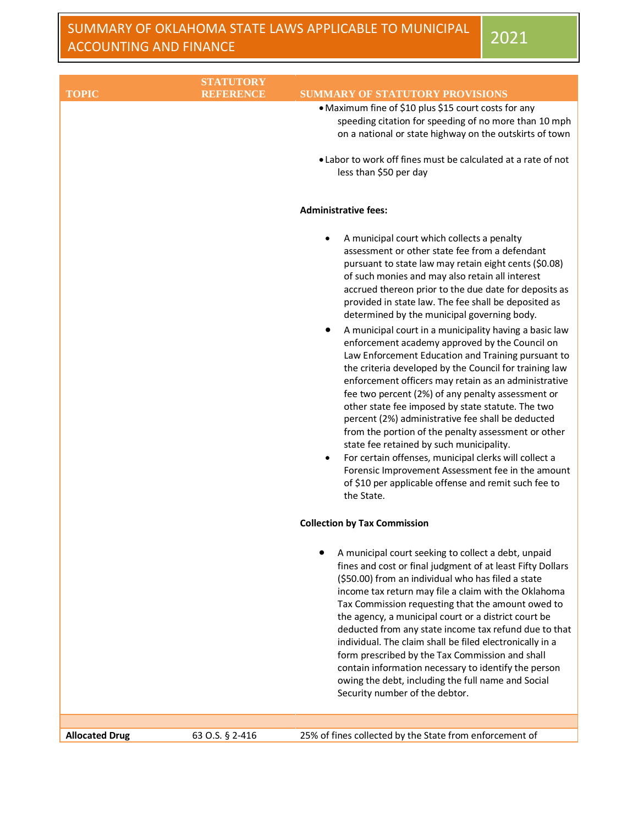#### SUMMARY OF OKLAHOMA STATE LAWS APPLICABLE TO MUNICIPAL SUMINIARY OF OKLAHOMA STATE LAWS APPLICABLE TO MUNICIPAL 2021

|                       | STATUTORY        |                                                                                                                                                                                                                                                                                                                                                                                                                                                                                                                                                                                                                                                                                                                                                                                                                                                                                                                                                                                                                                                                                                                                 |
|-----------------------|------------------|---------------------------------------------------------------------------------------------------------------------------------------------------------------------------------------------------------------------------------------------------------------------------------------------------------------------------------------------------------------------------------------------------------------------------------------------------------------------------------------------------------------------------------------------------------------------------------------------------------------------------------------------------------------------------------------------------------------------------------------------------------------------------------------------------------------------------------------------------------------------------------------------------------------------------------------------------------------------------------------------------------------------------------------------------------------------------------------------------------------------------------|
| <b>TOPIC</b>          | <b>REFERENCE</b> | <b>SUMMARY OF STATUTORY PROVISIONS</b>                                                                                                                                                                                                                                                                                                                                                                                                                                                                                                                                                                                                                                                                                                                                                                                                                                                                                                                                                                                                                                                                                          |
|                       |                  | • Maximum fine of \$10 plus \$15 court costs for any<br>speeding citation for speeding of no more than 10 mph<br>on a national or state highway on the outskirts of town<br>• Labor to work off fines must be calculated at a rate of not<br>less than \$50 per day                                                                                                                                                                                                                                                                                                                                                                                                                                                                                                                                                                                                                                                                                                                                                                                                                                                             |
|                       |                  | <b>Administrative fees:</b>                                                                                                                                                                                                                                                                                                                                                                                                                                                                                                                                                                                                                                                                                                                                                                                                                                                                                                                                                                                                                                                                                                     |
|                       |                  | A municipal court which collects a penalty<br>assessment or other state fee from a defendant<br>pursuant to state law may retain eight cents (\$0.08)<br>of such monies and may also retain all interest<br>accrued thereon prior to the due date for deposits as<br>provided in state law. The fee shall be deposited as<br>determined by the municipal governing body.<br>A municipal court in a municipality having a basic law<br>enforcement academy approved by the Council on<br>Law Enforcement Education and Training pursuant to<br>the criteria developed by the Council for training law<br>enforcement officers may retain as an administrative<br>fee two percent (2%) of any penalty assessment or<br>other state fee imposed by state statute. The two<br>percent (2%) administrative fee shall be deducted<br>from the portion of the penalty assessment or other<br>state fee retained by such municipality.<br>For certain offenses, municipal clerks will collect a<br>$\bullet$<br>Forensic Improvement Assessment fee in the amount<br>of \$10 per applicable offense and remit such fee to<br>the State. |
|                       |                  | <b>Collection by Tax Commission</b>                                                                                                                                                                                                                                                                                                                                                                                                                                                                                                                                                                                                                                                                                                                                                                                                                                                                                                                                                                                                                                                                                             |
|                       |                  | A municipal court seeking to collect a debt, unpaid<br>fines and cost or final judgment of at least Fifty Dollars<br>(\$50.00) from an individual who has filed a state<br>income tax return may file a claim with the Oklahoma<br>Tax Commission requesting that the amount owed to<br>the agency, a municipal court or a district court be<br>deducted from any state income tax refund due to that<br>individual. The claim shall be filed electronically in a<br>form prescribed by the Tax Commission and shall<br>contain information necessary to identify the person<br>owing the debt, including the full name and Social<br>Security number of the debtor.                                                                                                                                                                                                                                                                                                                                                                                                                                                            |
| <b>Allocated Drug</b> | 63 O.S. § 2-416  | 25% of fines collected by the State from enforcement of                                                                                                                                                                                                                                                                                                                                                                                                                                                                                                                                                                                                                                                                                                                                                                                                                                                                                                                                                                                                                                                                         |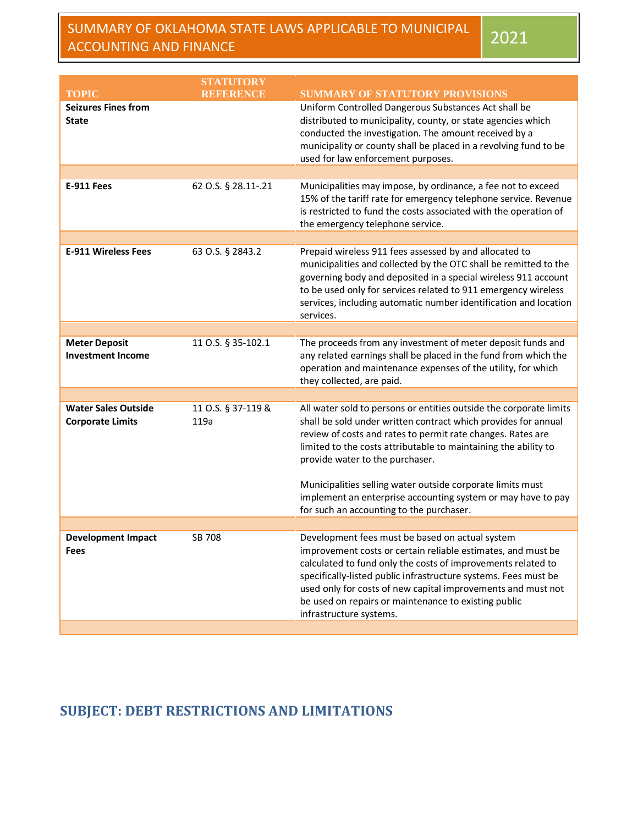#### SUMMARY OF OKLAHOMA STATE LAWS APPLICABLE TO MUNICIPAL SUMINIANT OF ONLAHOMA STATE LAWS APPLICABLE TO MONICIPAL 2021

|                                                       | <b>STATUTORY</b>           |                                                                                                                                                                                                                                                                                                                                                                                                                                                                                     |
|-------------------------------------------------------|----------------------------|-------------------------------------------------------------------------------------------------------------------------------------------------------------------------------------------------------------------------------------------------------------------------------------------------------------------------------------------------------------------------------------------------------------------------------------------------------------------------------------|
| <b>TOPIC</b>                                          | <b>REFERENCE</b>           | <b>SUMMARY OF STATUTORY PROVISIONS</b>                                                                                                                                                                                                                                                                                                                                                                                                                                              |
| <b>Seizures Fines from</b><br><b>State</b>            |                            | Uniform Controlled Dangerous Substances Act shall be<br>distributed to municipality, county, or state agencies which<br>conducted the investigation. The amount received by a<br>municipality or county shall be placed in a revolving fund to be<br>used for law enforcement purposes.                                                                                                                                                                                             |
|                                                       |                            |                                                                                                                                                                                                                                                                                                                                                                                                                                                                                     |
| E-911 Fees                                            | 62 O.S. § 28.11-.21        | Municipalities may impose, by ordinance, a fee not to exceed<br>15% of the tariff rate for emergency telephone service. Revenue<br>is restricted to fund the costs associated with the operation of<br>the emergency telephone service.                                                                                                                                                                                                                                             |
|                                                       |                            |                                                                                                                                                                                                                                                                                                                                                                                                                                                                                     |
| <b>E-911 Wireless Fees</b>                            | 63 O.S. § 2843.2           | Prepaid wireless 911 fees assessed by and allocated to<br>municipalities and collected by the OTC shall be remitted to the<br>governing body and deposited in a special wireless 911 account<br>to be used only for services related to 911 emergency wireless<br>services, including automatic number identification and location<br>services.                                                                                                                                     |
|                                                       |                            |                                                                                                                                                                                                                                                                                                                                                                                                                                                                                     |
| <b>Meter Deposit</b><br><b>Investment Income</b>      | 11 O.S. § 35-102.1         | The proceeds from any investment of meter deposit funds and<br>any related earnings shall be placed in the fund from which the<br>operation and maintenance expenses of the utility, for which<br>they collected, are paid.                                                                                                                                                                                                                                                         |
|                                                       |                            |                                                                                                                                                                                                                                                                                                                                                                                                                                                                                     |
| <b>Water Sales Outside</b><br><b>Corporate Limits</b> | 11 O.S. § 37-119 &<br>119a | All water sold to persons or entities outside the corporate limits<br>shall be sold under written contract which provides for annual<br>review of costs and rates to permit rate changes. Rates are<br>limited to the costs attributable to maintaining the ability to<br>provide water to the purchaser.<br>Municipalities selling water outside corporate limits must<br>implement an enterprise accounting system or may have to pay<br>for such an accounting to the purchaser. |
|                                                       |                            |                                                                                                                                                                                                                                                                                                                                                                                                                                                                                     |
| <b>Development Impact</b><br>Fees                     | <b>SB 708</b>              | Development fees must be based on actual system<br>improvement costs or certain reliable estimates, and must be<br>calculated to fund only the costs of improvements related to<br>specifically-listed public infrastructure systems. Fees must be<br>used only for costs of new capital improvements and must not<br>be used on repairs or maintenance to existing public<br>infrastructure systems.                                                                               |

### **SUBJECT: DEBT RESTRICTIONS AND LIMITATIONS**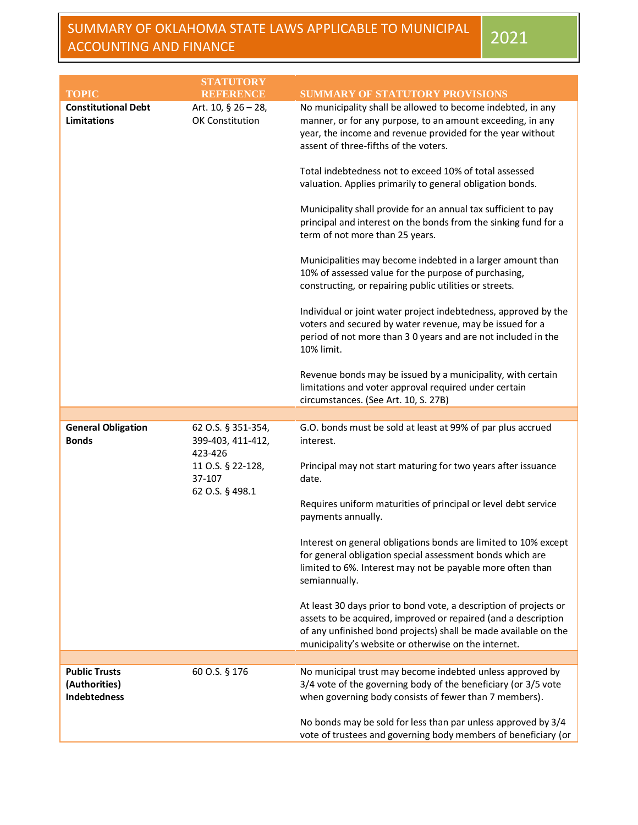| <b>TOPIC</b>                                                                                                                | <b>STATUTORY</b><br><b>REFERENCE</b>   | SUMMARY OF STATUTORY PROVISIONS                                                                                                                                                                                                                                |
|-----------------------------------------------------------------------------------------------------------------------------|----------------------------------------|----------------------------------------------------------------------------------------------------------------------------------------------------------------------------------------------------------------------------------------------------------------|
| <b>Constitutional Debt</b><br><b>Limitations</b>                                                                            | Art. 10, § 26 - 28,<br>OK Constitution | No municipality shall be allowed to become indebted, in any<br>manner, or for any purpose, to an amount exceeding, in any<br>year, the income and revenue provided for the year without<br>assent of three-fifths of the voters.                               |
|                                                                                                                             |                                        | Total indebtedness not to exceed 10% of total assessed<br>valuation. Applies primarily to general obligation bonds.                                                                                                                                            |
|                                                                                                                             |                                        | Municipality shall provide for an annual tax sufficient to pay<br>principal and interest on the bonds from the sinking fund for a<br>term of not more than 25 years.                                                                                           |
|                                                                                                                             |                                        | Municipalities may become indebted in a larger amount than<br>10% of assessed value for the purpose of purchasing,<br>constructing, or repairing public utilities or streets.                                                                                  |
|                                                                                                                             |                                        | Individual or joint water project indebtedness, approved by the<br>voters and secured by water revenue, may be issued for a<br>period of not more than 3 0 years and are not included in the<br>10% limit.                                                     |
|                                                                                                                             |                                        | Revenue bonds may be issued by a municipality, with certain<br>limitations and voter approval required under certain<br>circumstances. (See Art. 10, S. 27B)                                                                                                   |
|                                                                                                                             |                                        |                                                                                                                                                                                                                                                                |
| <b>General Obligation</b><br><b>Bonds</b><br>399-403, 411-412,<br>423-426<br>11 O.S. § 22-128,<br>37-107<br>62 O.S. § 498.1 | 62 O.S. § 351-354,                     | G.O. bonds must be sold at least at 99% of par plus accrued<br>interest.<br>Principal may not start maturing for two years after issuance                                                                                                                      |
|                                                                                                                             |                                        | date.                                                                                                                                                                                                                                                          |
|                                                                                                                             |                                        | Requires uniform maturities of principal or level debt service<br>payments annually.                                                                                                                                                                           |
|                                                                                                                             |                                        | Interest on general obligations bonds are limited to 10% except<br>for general obligation special assessment bonds which are<br>limited to 6%. Interest may not be payable more often than<br>semiannually.                                                    |
|                                                                                                                             |                                        | At least 30 days prior to bond vote, a description of projects or<br>assets to be acquired, improved or repaired (and a description<br>of any unfinished bond projects) shall be made available on the<br>municipality's website or otherwise on the internet. |
|                                                                                                                             |                                        |                                                                                                                                                                                                                                                                |
| <b>Public Trusts</b><br>(Authorities)<br><b>Indebtedness</b>                                                                | 60 O.S. § 176                          | No municipal trust may become indebted unless approved by<br>3/4 vote of the governing body of the beneficiary (or 3/5 vote<br>when governing body consists of fewer than 7 members).                                                                          |
|                                                                                                                             |                                        | No bonds may be sold for less than par unless approved by 3/4<br>vote of trustees and governing body members of beneficiary (or                                                                                                                                |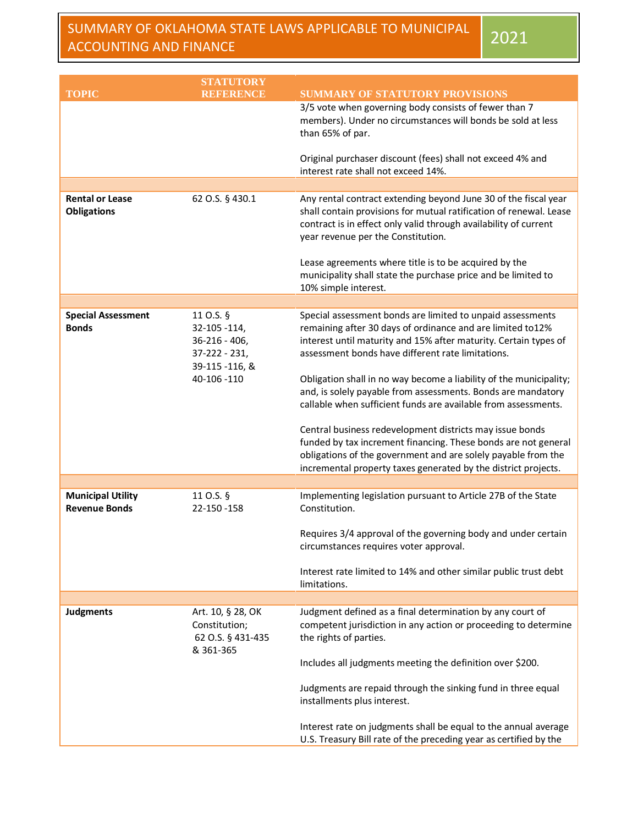| <b>TOPIC</b>                                                                | <b>STATUTORY</b><br><b>REFERENCE</b>                                                                                                                                                                 | <b>SUMMARY OF STATUTORY PROVISIONS</b>                                                                                                                                                                                                                        |
|-----------------------------------------------------------------------------|------------------------------------------------------------------------------------------------------------------------------------------------------------------------------------------------------|---------------------------------------------------------------------------------------------------------------------------------------------------------------------------------------------------------------------------------------------------------------|
|                                                                             |                                                                                                                                                                                                      | 3/5 vote when governing body consists of fewer than 7                                                                                                                                                                                                         |
|                                                                             |                                                                                                                                                                                                      | members). Under no circumstances will bonds be sold at less<br>than 65% of par.                                                                                                                                                                               |
|                                                                             |                                                                                                                                                                                                      | Original purchaser discount (fees) shall not exceed 4% and<br>interest rate shall not exceed 14%.                                                                                                                                                             |
| <b>Rental or Lease</b>                                                      | 62 O.S. § 430.1                                                                                                                                                                                      | Any rental contract extending beyond June 30 of the fiscal year                                                                                                                                                                                               |
| <b>Obligations</b>                                                          |                                                                                                                                                                                                      | shall contain provisions for mutual ratification of renewal. Lease<br>contract is in effect only valid through availability of current<br>year revenue per the Constitution.                                                                                  |
|                                                                             |                                                                                                                                                                                                      | Lease agreements where title is to be acquired by the<br>municipality shall state the purchase price and be limited to<br>10% simple interest.                                                                                                                |
|                                                                             |                                                                                                                                                                                                      |                                                                                                                                                                                                                                                               |
| <b>Special Assessment</b><br><b>Bonds</b>                                   | 11 O.S. §<br>32-105 -114,<br>$36 - 216 - 406$<br>37-222 - 231,<br>39-115 -116, &                                                                                                                     | Special assessment bonds are limited to unpaid assessments<br>remaining after 30 days of ordinance and are limited to12%<br>interest until maturity and 15% after maturity. Certain types of<br>assessment bonds have different rate limitations.             |
| 40-106 -110                                                                 | Obligation shall in no way become a liability of the municipality;<br>and, is solely payable from assessments. Bonds are mandatory<br>callable when sufficient funds are available from assessments. |                                                                                                                                                                                                                                                               |
|                                                                             |                                                                                                                                                                                                      | Central business redevelopment districts may issue bonds<br>funded by tax increment financing. These bonds are not general<br>obligations of the government and are solely payable from the<br>incremental property taxes generated by the district projects. |
|                                                                             |                                                                                                                                                                                                      |                                                                                                                                                                                                                                                               |
| <b>Municipal Utility</b><br><b>Revenue Bonds</b>                            | 11 O.S. §<br>22-150 -158                                                                                                                                                                             | Implementing legislation pursuant to Article 27B of the State<br>Constitution.                                                                                                                                                                                |
|                                                                             |                                                                                                                                                                                                      | Requires 3/4 approval of the governing body and under certain<br>circumstances requires voter approval.                                                                                                                                                       |
|                                                                             |                                                                                                                                                                                                      | Interest rate limited to 14% and other similar public trust debt<br>limitations.                                                                                                                                                                              |
|                                                                             |                                                                                                                                                                                                      |                                                                                                                                                                                                                                                               |
| <b>Judgments</b><br>Art. 10, § 28, OK<br>Constitution;<br>62 O.S. § 431-435 | & 361-365                                                                                                                                                                                            | Judgment defined as a final determination by any court of<br>competent jurisdiction in any action or proceeding to determine<br>the rights of parties.                                                                                                        |
|                                                                             |                                                                                                                                                                                                      | Includes all judgments meeting the definition over \$200.                                                                                                                                                                                                     |
|                                                                             |                                                                                                                                                                                                      | Judgments are repaid through the sinking fund in three equal<br>installments plus interest.                                                                                                                                                                   |
|                                                                             |                                                                                                                                                                                                      | Interest rate on judgments shall be equal to the annual average<br>U.S. Treasury Bill rate of the preceding year as certified by the                                                                                                                          |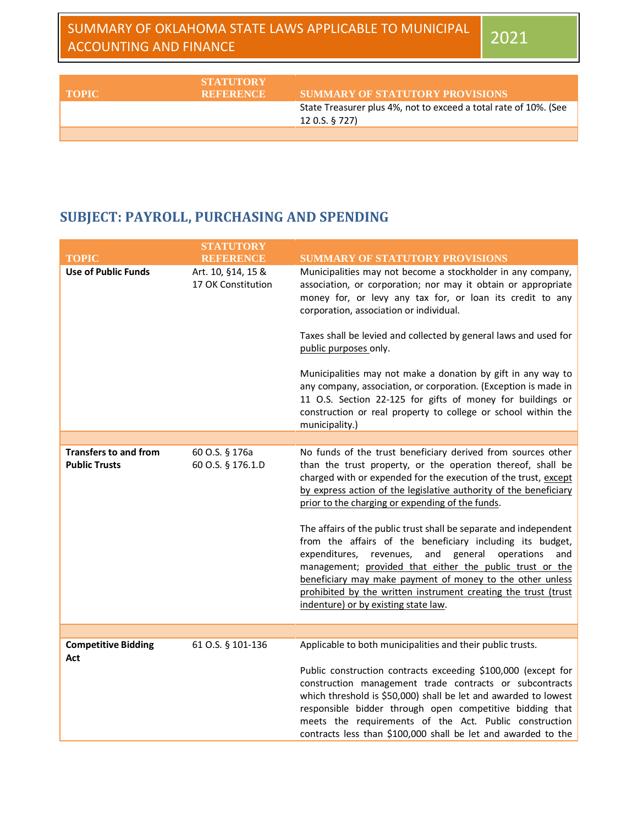#### SUMMARY OF OKLAHOMA STATE LAWS APPLICABLE TO MUNICIPAL SUMINIARY OF OKLAHOMA STATE LAWS APPLICABLE TO MONICIPAL 2021

| <b>TOPIC</b> | <b>STATUTORY</b><br><b>REFERENCE</b> | SUMMARY OF STATUTORY PROVISIONS                                                    |
|--------------|--------------------------------------|------------------------------------------------------------------------------------|
|              |                                      | State Treasurer plus 4%, not to exceed a total rate of 10%. (See<br>12 0.S. § 727) |
|              |                                      |                                                                                    |

#### **SUBJECT: PAYROLL, PURCHASING AND SPENDING**

|                                                      | <b>STATUTORY</b>                         |                                                                                                                                                                                                                                                                                                                                                                                                                                                                                                                                                                                                                                                                                                                                                                |
|------------------------------------------------------|------------------------------------------|----------------------------------------------------------------------------------------------------------------------------------------------------------------------------------------------------------------------------------------------------------------------------------------------------------------------------------------------------------------------------------------------------------------------------------------------------------------------------------------------------------------------------------------------------------------------------------------------------------------------------------------------------------------------------------------------------------------------------------------------------------------|
| <b>TOPIC</b>                                         | <b>REFERENCE</b>                         | <b>SUMMARY OF STATUTORY PROVISIONS</b>                                                                                                                                                                                                                                                                                                                                                                                                                                                                                                                                                                                                                                                                                                                         |
| <b>Use of Public Funds</b>                           | Art. 10, §14, 15 &<br>17 OK Constitution | Municipalities may not become a stockholder in any company,<br>association, or corporation; nor may it obtain or appropriate<br>money for, or levy any tax for, or loan its credit to any<br>corporation, association or individual.                                                                                                                                                                                                                                                                                                                                                                                                                                                                                                                           |
|                                                      |                                          | Taxes shall be levied and collected by general laws and used for<br>public purposes only.                                                                                                                                                                                                                                                                                                                                                                                                                                                                                                                                                                                                                                                                      |
|                                                      |                                          | Municipalities may not make a donation by gift in any way to<br>any company, association, or corporation. (Exception is made in<br>11 O.S. Section 22-125 for gifts of money for buildings or<br>construction or real property to college or school within the<br>municipality.)                                                                                                                                                                                                                                                                                                                                                                                                                                                                               |
|                                                      |                                          |                                                                                                                                                                                                                                                                                                                                                                                                                                                                                                                                                                                                                                                                                                                                                                |
| <b>Transfers to and from</b><br><b>Public Trusts</b> | 60 O.S. § 176a<br>60 O.S. § 176.1.D      | No funds of the trust beneficiary derived from sources other<br>than the trust property, or the operation thereof, shall be<br>charged with or expended for the execution of the trust, except<br>by express action of the legislative authority of the beneficiary<br>prior to the charging or expending of the funds.<br>The affairs of the public trust shall be separate and independent<br>from the affairs of the beneficiary including its budget,<br>expenditures, revenues,<br>and<br>general<br>operations<br>and<br>management; provided that either the public trust or the<br>beneficiary may make payment of money to the other unless<br>prohibited by the written instrument creating the trust (trust<br>indenture) or by existing state law. |
|                                                      |                                          |                                                                                                                                                                                                                                                                                                                                                                                                                                                                                                                                                                                                                                                                                                                                                                |
| <b>Competitive Bidding</b><br>Act                    | 61 O.S. § 101-136                        | Applicable to both municipalities and their public trusts.<br>Public construction contracts exceeding \$100,000 (except for<br>construction management trade contracts or subcontracts<br>which threshold is \$50,000) shall be let and awarded to lowest<br>responsible bidder through open competitive bidding that<br>meets the requirements of the Act. Public construction<br>contracts less than \$100,000 shall be let and awarded to the                                                                                                                                                                                                                                                                                                               |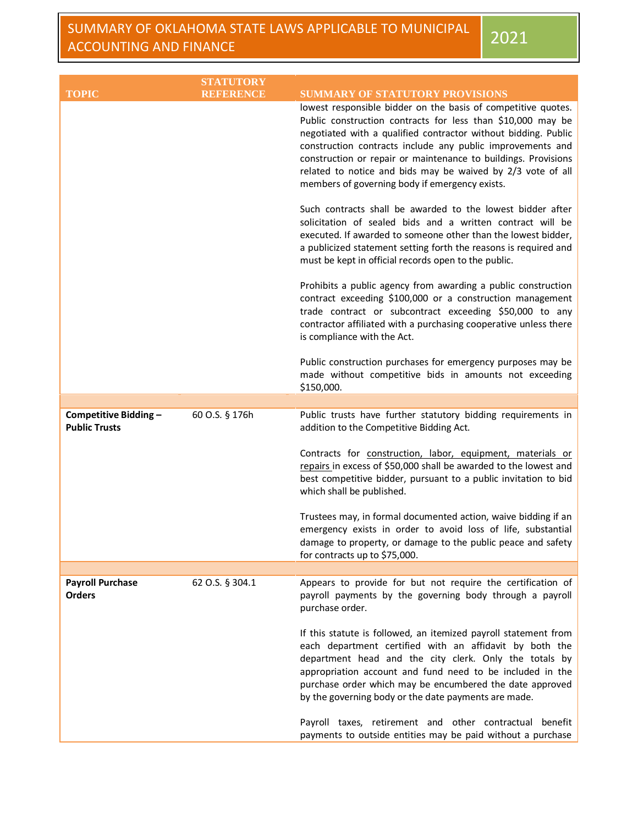|                                               | <b>STATUTORY</b> |                                                                                                                                                                                                                                                                                                                                                                                                                                                 |
|-----------------------------------------------|------------------|-------------------------------------------------------------------------------------------------------------------------------------------------------------------------------------------------------------------------------------------------------------------------------------------------------------------------------------------------------------------------------------------------------------------------------------------------|
| <b>TOPIC</b>                                  | <b>REFERENCE</b> | <b>SUMMARY OF STATUTORY PROVISIONS</b>                                                                                                                                                                                                                                                                                                                                                                                                          |
|                                               |                  | lowest responsible bidder on the basis of competitive quotes.<br>Public construction contracts for less than \$10,000 may be<br>negotiated with a qualified contractor without bidding. Public<br>construction contracts include any public improvements and<br>construction or repair or maintenance to buildings. Provisions<br>related to notice and bids may be waived by 2/3 vote of all<br>members of governing body if emergency exists. |
|                                               |                  | Such contracts shall be awarded to the lowest bidder after<br>solicitation of sealed bids and a written contract will be<br>executed. If awarded to someone other than the lowest bidder,<br>a publicized statement setting forth the reasons is required and<br>must be kept in official records open to the public.                                                                                                                           |
|                                               |                  | Prohibits a public agency from awarding a public construction<br>contract exceeding \$100,000 or a construction management<br>trade contract or subcontract exceeding \$50,000 to any<br>contractor affiliated with a purchasing cooperative unless there<br>is compliance with the Act.                                                                                                                                                        |
|                                               |                  | Public construction purchases for emergency purposes may be<br>made without competitive bids in amounts not exceeding<br>\$150,000.                                                                                                                                                                                                                                                                                                             |
|                                               |                  |                                                                                                                                                                                                                                                                                                                                                                                                                                                 |
| Competitive Bidding -<br><b>Public Trusts</b> | 60 O.S. § 176h   | Public trusts have further statutory bidding requirements in<br>addition to the Competitive Bidding Act.                                                                                                                                                                                                                                                                                                                                        |
|                                               |                  | Contracts for construction, labor, equipment, materials or<br>repairs in excess of \$50,000 shall be awarded to the lowest and<br>best competitive bidder, pursuant to a public invitation to bid<br>which shall be published.                                                                                                                                                                                                                  |
|                                               |                  | Trustees may, in formal documented action, waive bidding if an<br>emergency exists in order to avoid loss of life, substantial<br>damage to property, or damage to the public peace and safety<br>for contracts up to \$75,000.                                                                                                                                                                                                                 |
|                                               |                  |                                                                                                                                                                                                                                                                                                                                                                                                                                                 |
| <b>Payroll Purchase</b><br><b>Orders</b>      | 62 O.S. § 304.1  | Appears to provide for but not require the certification of<br>payroll payments by the governing body through a payroll<br>purchase order.                                                                                                                                                                                                                                                                                                      |
|                                               |                  | If this statute is followed, an itemized payroll statement from<br>each department certified with an affidavit by both the<br>department head and the city clerk. Only the totals by<br>appropriation account and fund need to be included in the<br>purchase order which may be encumbered the date approved<br>by the governing body or the date payments are made.                                                                           |
|                                               |                  | Payroll taxes, retirement and other contractual benefit<br>payments to outside entities may be paid without a purchase                                                                                                                                                                                                                                                                                                                          |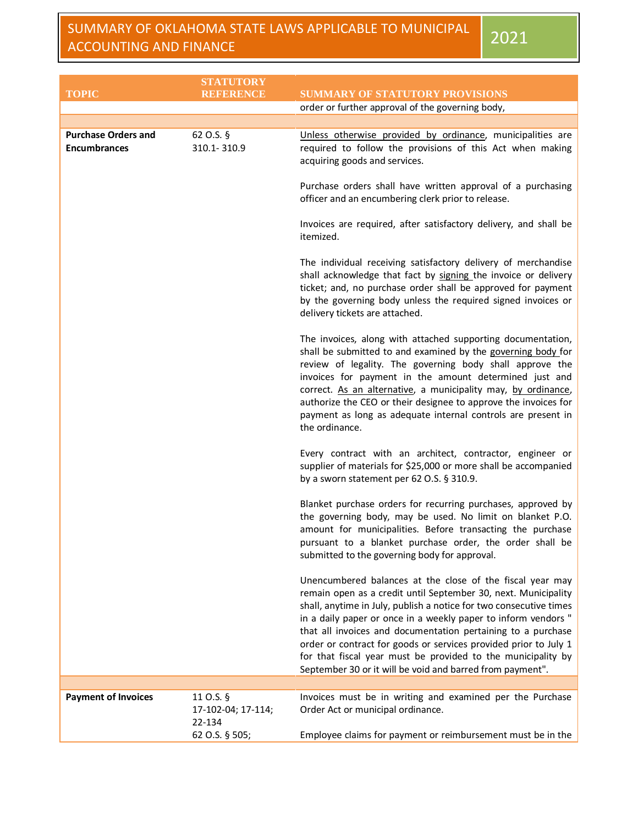|                                                   | <b>STATUTORY</b>                          |                                                                                                                                                                                                                                                                                                                                                                                                                                                                                                                                      |
|---------------------------------------------------|-------------------------------------------|--------------------------------------------------------------------------------------------------------------------------------------------------------------------------------------------------------------------------------------------------------------------------------------------------------------------------------------------------------------------------------------------------------------------------------------------------------------------------------------------------------------------------------------|
| <b>TOPIC</b>                                      | <b>REFERENCE</b>                          | <b>SUMMARY OF STATUTORY PROVISIONS</b>                                                                                                                                                                                                                                                                                                                                                                                                                                                                                               |
|                                                   |                                           | order or further approval of the governing body,                                                                                                                                                                                                                                                                                                                                                                                                                                                                                     |
|                                                   |                                           |                                                                                                                                                                                                                                                                                                                                                                                                                                                                                                                                      |
| <b>Purchase Orders and</b><br><b>Encumbrances</b> | 62 O.S. §<br>310.1-310.9                  | Unless otherwise provided by ordinance, municipalities are<br>required to follow the provisions of this Act when making<br>acquiring goods and services.                                                                                                                                                                                                                                                                                                                                                                             |
|                                                   |                                           | Purchase orders shall have written approval of a purchasing<br>officer and an encumbering clerk prior to release.                                                                                                                                                                                                                                                                                                                                                                                                                    |
|                                                   |                                           | Invoices are required, after satisfactory delivery, and shall be<br>itemized.                                                                                                                                                                                                                                                                                                                                                                                                                                                        |
|                                                   |                                           | The individual receiving satisfactory delivery of merchandise<br>shall acknowledge that fact by signing the invoice or delivery<br>ticket; and, no purchase order shall be approved for payment<br>by the governing body unless the required signed invoices or<br>delivery tickets are attached.                                                                                                                                                                                                                                    |
|                                                   |                                           | The invoices, along with attached supporting documentation,<br>shall be submitted to and examined by the governing body for<br>review of legality. The governing body shall approve the<br>invoices for payment in the amount determined just and<br>correct. As an alternative, a municipality may, by ordinance,<br>authorize the CEO or their designee to approve the invoices for<br>payment as long as adequate internal controls are present in<br>the ordinance.                                                              |
|                                                   |                                           | Every contract with an architect, contractor, engineer or<br>supplier of materials for \$25,000 or more shall be accompanied<br>by a sworn statement per 62 O.S. § 310.9.                                                                                                                                                                                                                                                                                                                                                            |
|                                                   |                                           | Blanket purchase orders for recurring purchases, approved by<br>the governing body, may be used. No limit on blanket P.O.<br>amount for municipalities. Before transacting the purchase<br>pursuant to a blanket purchase order, the order shall be<br>submitted to the governing body for approval.                                                                                                                                                                                                                                 |
|                                                   |                                           | Unencumbered balances at the close of the fiscal year may<br>remain open as a credit until September 30, next. Municipality<br>shall, anytime in July, publish a notice for two consecutive times<br>in a daily paper or once in a weekly paper to inform vendors "<br>that all invoices and documentation pertaining to a purchase<br>order or contract for goods or services provided prior to July 1<br>for that fiscal year must be provided to the municipality by<br>September 30 or it will be void and barred from payment". |
|                                                   |                                           |                                                                                                                                                                                                                                                                                                                                                                                                                                                                                                                                      |
| <b>Payment of Invoices</b>                        | 11 O.S. §<br>17-102-04; 17-114;<br>22-134 | Invoices must be in writing and examined per the Purchase<br>Order Act or municipal ordinance.                                                                                                                                                                                                                                                                                                                                                                                                                                       |
|                                                   | 62 O.S. § 505;                            | Employee claims for payment or reimbursement must be in the                                                                                                                                                                                                                                                                                                                                                                                                                                                                          |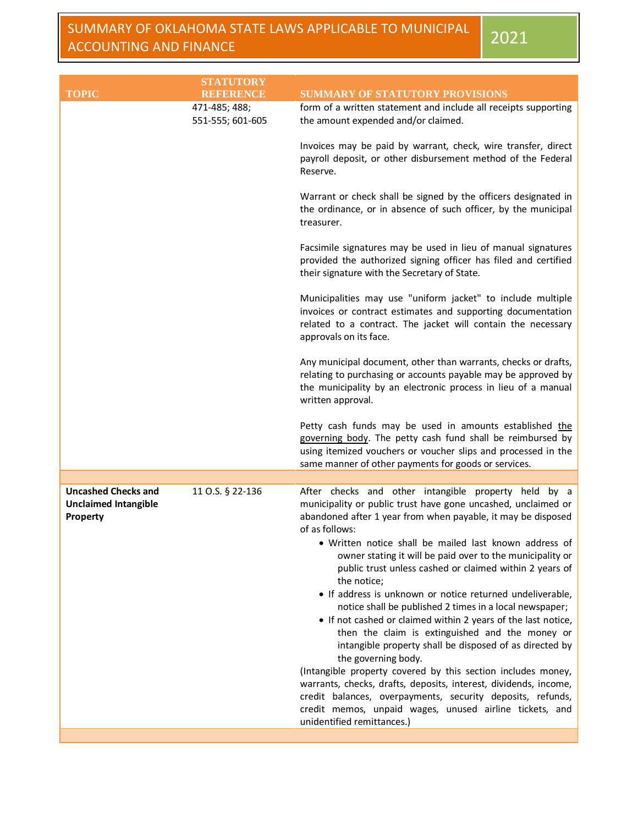| <b>TOPIC</b>                                                          | <b>STATUTORY</b><br><b>REFERENCE</b> | <b>SUMMARY OF STATUTORY PROVISIONS</b>                                                                                                                                                                                                                                                                                                                                                                                                                                                                                                                                                                                                                                                                                                                                                                                                                                                                                                                                                                                            |
|-----------------------------------------------------------------------|--------------------------------------|-----------------------------------------------------------------------------------------------------------------------------------------------------------------------------------------------------------------------------------------------------------------------------------------------------------------------------------------------------------------------------------------------------------------------------------------------------------------------------------------------------------------------------------------------------------------------------------------------------------------------------------------------------------------------------------------------------------------------------------------------------------------------------------------------------------------------------------------------------------------------------------------------------------------------------------------------------------------------------------------------------------------------------------|
|                                                                       | 471-485; 488;<br>551-555; 601-605    | form of a written statement and include all receipts supporting<br>the amount expended and/or claimed.                                                                                                                                                                                                                                                                                                                                                                                                                                                                                                                                                                                                                                                                                                                                                                                                                                                                                                                            |
|                                                                       |                                      | Invoices may be paid by warrant, check, wire transfer, direct<br>payroll deposit, or other disbursement method of the Federal<br>Reserve.                                                                                                                                                                                                                                                                                                                                                                                                                                                                                                                                                                                                                                                                                                                                                                                                                                                                                         |
|                                                                       |                                      | Warrant or check shall be signed by the officers designated in<br>the ordinance, or in absence of such officer, by the municipal<br>treasurer.                                                                                                                                                                                                                                                                                                                                                                                                                                                                                                                                                                                                                                                                                                                                                                                                                                                                                    |
|                                                                       |                                      | Facsimile signatures may be used in lieu of manual signatures<br>provided the authorized signing officer has filed and certified<br>their signature with the Secretary of State.                                                                                                                                                                                                                                                                                                                                                                                                                                                                                                                                                                                                                                                                                                                                                                                                                                                  |
|                                                                       |                                      | Municipalities may use "uniform jacket" to include multiple<br>invoices or contract estimates and supporting documentation<br>related to a contract. The jacket will contain the necessary<br>approvals on its face.                                                                                                                                                                                                                                                                                                                                                                                                                                                                                                                                                                                                                                                                                                                                                                                                              |
|                                                                       |                                      | Any municipal document, other than warrants, checks or drafts,<br>relating to purchasing or accounts payable may be approved by<br>the municipality by an electronic process in lieu of a manual<br>written approval.                                                                                                                                                                                                                                                                                                                                                                                                                                                                                                                                                                                                                                                                                                                                                                                                             |
|                                                                       |                                      | Petty cash funds may be used in amounts established the<br>governing body. The petty cash fund shall be reimbursed by<br>using itemized vouchers or voucher slips and processed in the<br>same manner of other payments for goods or services.                                                                                                                                                                                                                                                                                                                                                                                                                                                                                                                                                                                                                                                                                                                                                                                    |
|                                                                       |                                      |                                                                                                                                                                                                                                                                                                                                                                                                                                                                                                                                                                                                                                                                                                                                                                                                                                                                                                                                                                                                                                   |
| <b>Uncashed Checks and</b><br><b>Unclaimed Intangible</b><br>Property | 11 O.S. § 22-136                     | After checks and other intangible property held by a<br>municipality or public trust have gone uncashed, unclaimed or<br>abandoned after 1 year from when payable, it may be disposed<br>of as follows:<br>• Written notice shall be mailed last known address of<br>owner stating it will be paid over to the municipality or<br>public trust unless cashed or claimed within 2 years of<br>the notice;<br>• If address is unknown or notice returned undeliverable,<br>notice shall be published 2 times in a local newspaper;<br>• If not cashed or claimed within 2 years of the last notice,<br>then the claim is extinguished and the money or<br>intangible property shall be disposed of as directed by<br>the governing body.<br>(Intangible property covered by this section includes money,<br>warrants, checks, drafts, deposits, interest, dividends, income,<br>credit balances, overpayments, security deposits, refunds,<br>credit memos, unpaid wages, unused airline tickets, and<br>unidentified remittances.) |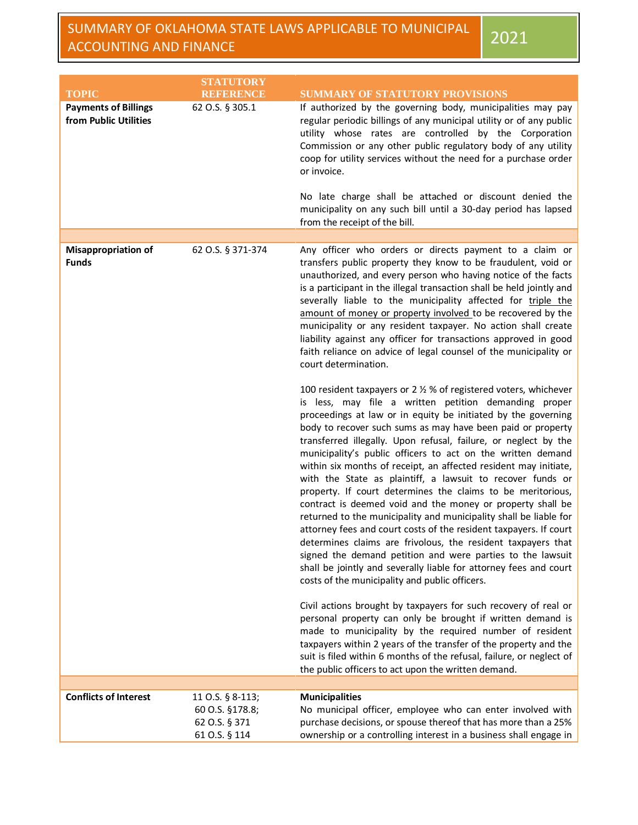| <b>TOPIC</b>                                         | <b>STATUTORY</b><br><b>REFERENCE</b>                                  | <b>SUMMARY OF STATUTORY PROVISIONS</b>                                                                                                                                                                                                                                                                                                                                                                                                                                                                                                                                                                                                                                                                                                                                                                                                                                                                                                                                                                                                                                                                                                                                                                                                                                                                                                                                                                                                                                                                                                                                                                                                                                                                                                                                                                                                                                                                                                                                                                                                                                                       |
|------------------------------------------------------|-----------------------------------------------------------------------|----------------------------------------------------------------------------------------------------------------------------------------------------------------------------------------------------------------------------------------------------------------------------------------------------------------------------------------------------------------------------------------------------------------------------------------------------------------------------------------------------------------------------------------------------------------------------------------------------------------------------------------------------------------------------------------------------------------------------------------------------------------------------------------------------------------------------------------------------------------------------------------------------------------------------------------------------------------------------------------------------------------------------------------------------------------------------------------------------------------------------------------------------------------------------------------------------------------------------------------------------------------------------------------------------------------------------------------------------------------------------------------------------------------------------------------------------------------------------------------------------------------------------------------------------------------------------------------------------------------------------------------------------------------------------------------------------------------------------------------------------------------------------------------------------------------------------------------------------------------------------------------------------------------------------------------------------------------------------------------------------------------------------------------------------------------------------------------------|
| <b>Payments of Billings</b><br>from Public Utilities | 62 O.S. § 305.1                                                       | If authorized by the governing body, municipalities may pay<br>regular periodic billings of any municipal utility or of any public<br>utility whose rates are controlled by the Corporation<br>Commission or any other public regulatory body of any utility<br>coop for utility services without the need for a purchase order<br>or invoice.<br>No late charge shall be attached or discount denied the<br>municipality on any such bill until a 30-day period has lapsed<br>from the receipt of the bill.                                                                                                                                                                                                                                                                                                                                                                                                                                                                                                                                                                                                                                                                                                                                                                                                                                                                                                                                                                                                                                                                                                                                                                                                                                                                                                                                                                                                                                                                                                                                                                                 |
|                                                      |                                                                       |                                                                                                                                                                                                                                                                                                                                                                                                                                                                                                                                                                                                                                                                                                                                                                                                                                                                                                                                                                                                                                                                                                                                                                                                                                                                                                                                                                                                                                                                                                                                                                                                                                                                                                                                                                                                                                                                                                                                                                                                                                                                                              |
| <b>Misappropriation of</b><br><b>Funds</b>           | 62 O.S. § 371-374                                                     | Any officer who orders or directs payment to a claim or<br>transfers public property they know to be fraudulent, void or<br>unauthorized, and every person who having notice of the facts<br>is a participant in the illegal transaction shall be held jointly and<br>severally liable to the municipality affected for triple the<br>amount of money or property involved to be recovered by the<br>municipality or any resident taxpayer. No action shall create<br>liability against any officer for transactions approved in good<br>faith reliance on advice of legal counsel of the municipality or<br>court determination.<br>100 resident taxpayers or 2 % % of registered voters, whichever<br>is less, may file a written petition demanding proper<br>proceedings at law or in equity be initiated by the governing<br>body to recover such sums as may have been paid or property<br>transferred illegally. Upon refusal, failure, or neglect by the<br>municipality's public officers to act on the written demand<br>within six months of receipt, an affected resident may initiate,<br>with the State as plaintiff, a lawsuit to recover funds or<br>property. If court determines the claims to be meritorious,<br>contract is deemed void and the money or property shall be<br>returned to the municipality and municipality shall be liable for<br>attorney fees and court costs of the resident taxpayers. If court<br>determines claims are frivolous, the resident taxpayers that<br>signed the demand petition and were parties to the lawsuit<br>shall be jointly and severally liable for attorney fees and court<br>costs of the municipality and public officers.<br>Civil actions brought by taxpayers for such recovery of real or<br>personal property can only be brought if written demand is<br>made to municipality by the required number of resident<br>taxpayers within 2 years of the transfer of the property and the<br>suit is filed within 6 months of the refusal, failure, or neglect of<br>the public officers to act upon the written demand. |
|                                                      |                                                                       |                                                                                                                                                                                                                                                                                                                                                                                                                                                                                                                                                                                                                                                                                                                                                                                                                                                                                                                                                                                                                                                                                                                                                                                                                                                                                                                                                                                                                                                                                                                                                                                                                                                                                                                                                                                                                                                                                                                                                                                                                                                                                              |
| <b>Conflicts of Interest</b>                         | 11 O.S. § 8-113;<br>60 O.S. §178.8;<br>62 O.S. § 371<br>61 O.S. § 114 | <b>Municipalities</b><br>No municipal officer, employee who can enter involved with<br>purchase decisions, or spouse thereof that has more than a 25%<br>ownership or a controlling interest in a business shall engage in                                                                                                                                                                                                                                                                                                                                                                                                                                                                                                                                                                                                                                                                                                                                                                                                                                                                                                                                                                                                                                                                                                                                                                                                                                                                                                                                                                                                                                                                                                                                                                                                                                                                                                                                                                                                                                                                   |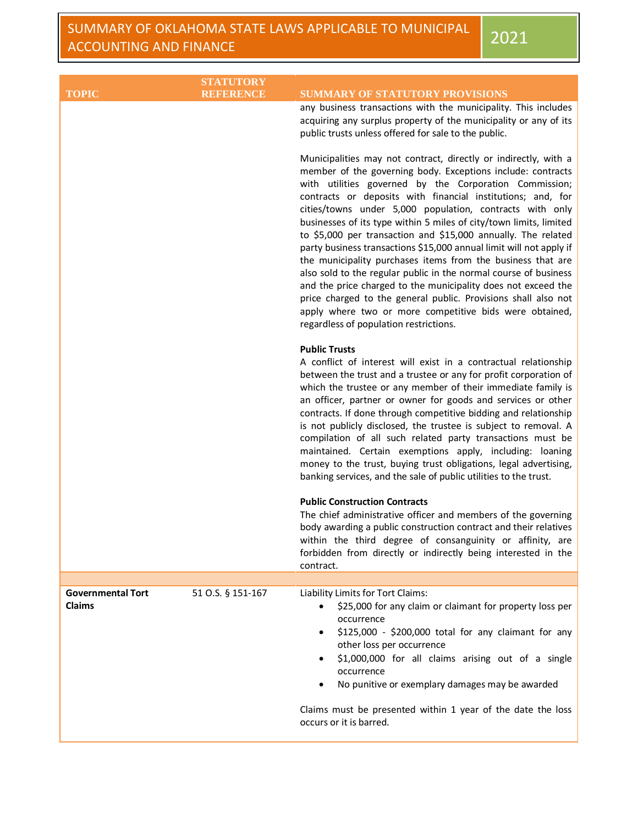| <b>TOPIC</b>                              | <b>STATUTORY</b><br><b>REFERENCE</b> | <b>SUMMARY OF STATUTORY PROVISIONS</b>                                                                                                                                                                                                                                                                                                                                                                                                                                                                                                                                                                                                                                                                                                                                                                                                    |
|-------------------------------------------|--------------------------------------|-------------------------------------------------------------------------------------------------------------------------------------------------------------------------------------------------------------------------------------------------------------------------------------------------------------------------------------------------------------------------------------------------------------------------------------------------------------------------------------------------------------------------------------------------------------------------------------------------------------------------------------------------------------------------------------------------------------------------------------------------------------------------------------------------------------------------------------------|
|                                           |                                      | any business transactions with the municipality. This includes<br>acquiring any surplus property of the municipality or any of its<br>public trusts unless offered for sale to the public.<br>Municipalities may not contract, directly or indirectly, with a                                                                                                                                                                                                                                                                                                                                                                                                                                                                                                                                                                             |
|                                           |                                      | member of the governing body. Exceptions include: contracts<br>with utilities governed by the Corporation Commission;<br>contracts or deposits with financial institutions; and, for<br>cities/towns under 5,000 population, contracts with only<br>businesses of its type within 5 miles of city/town limits, limited<br>to \$5,000 per transaction and \$15,000 annually. The related<br>party business transactions \$15,000 annual limit will not apply if<br>the municipality purchases items from the business that are<br>also sold to the regular public in the normal course of business<br>and the price charged to the municipality does not exceed the<br>price charged to the general public. Provisions shall also not<br>apply where two or more competitive bids were obtained,<br>regardless of population restrictions. |
|                                           |                                      | <b>Public Trusts</b><br>A conflict of interest will exist in a contractual relationship<br>between the trust and a trustee or any for profit corporation of<br>which the trustee or any member of their immediate family is<br>an officer, partner or owner for goods and services or other<br>contracts. If done through competitive bidding and relationship<br>is not publicly disclosed, the trustee is subject to removal. A<br>compilation of all such related party transactions must be<br>maintained. Certain exemptions apply, including: loaning<br>money to the trust, buying trust obligations, legal advertising,<br>banking services, and the sale of public utilities to the trust.                                                                                                                                       |
|                                           |                                      | <b>Public Construction Contracts</b><br>The chief administrative officer and members of the governing<br>body awarding a public construction contract and their relatives<br>within the third degree of consanguinity or affinity, are<br>forbidden from directly or indirectly being interested in the<br>contract.                                                                                                                                                                                                                                                                                                                                                                                                                                                                                                                      |
| <b>Governmental Tort</b><br><b>Claims</b> | 51 O.S. § 151-167                    | Liability Limits for Tort Claims:<br>\$25,000 for any claim or claimant for property loss per<br>occurrence<br>\$125,000 - \$200,000 total for any claimant for any<br>other loss per occurrence<br>\$1,000,000 for all claims arising out of a single<br>٠<br>occurrence<br>No punitive or exemplary damages may be awarded<br>٠                                                                                                                                                                                                                                                                                                                                                                                                                                                                                                         |
|                                           |                                      | Claims must be presented within 1 year of the date the loss<br>occurs or it is barred.                                                                                                                                                                                                                                                                                                                                                                                                                                                                                                                                                                                                                                                                                                                                                    |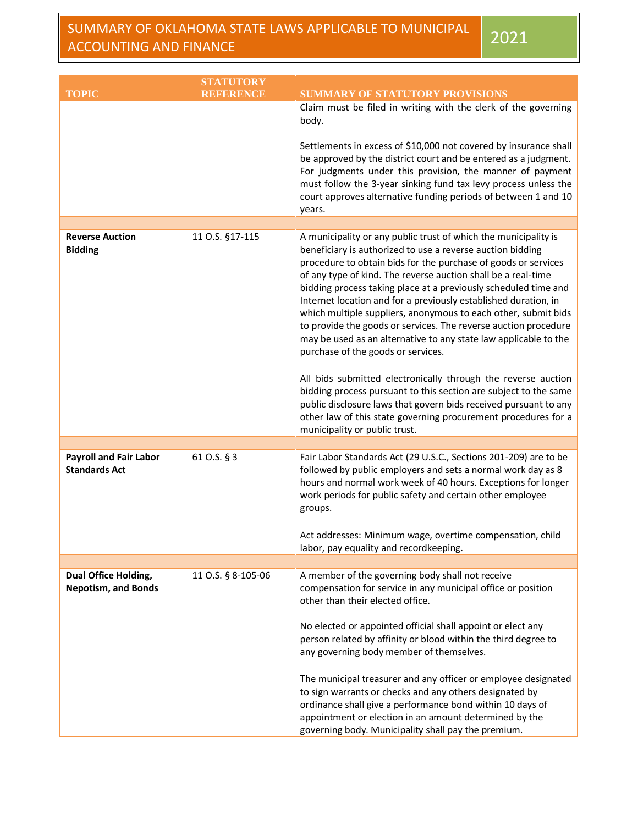|                                                       | STATUTORY          |                                                                                                                                                                                                                                                                                                                                                                                                                                                                                                                                                                                                                                                       |
|-------------------------------------------------------|--------------------|-------------------------------------------------------------------------------------------------------------------------------------------------------------------------------------------------------------------------------------------------------------------------------------------------------------------------------------------------------------------------------------------------------------------------------------------------------------------------------------------------------------------------------------------------------------------------------------------------------------------------------------------------------|
| <b>TOPIC</b>                                          | RESERVATOR         | <b>SUMMARY OF STATUTORY PROVISIONS</b>                                                                                                                                                                                                                                                                                                                                                                                                                                                                                                                                                                                                                |
|                                                       |                    | Claim must be filed in writing with the clerk of the governing<br>body.                                                                                                                                                                                                                                                                                                                                                                                                                                                                                                                                                                               |
|                                                       |                    | Settlements in excess of \$10,000 not covered by insurance shall<br>be approved by the district court and be entered as a judgment.<br>For judgments under this provision, the manner of payment<br>must follow the 3-year sinking fund tax levy process unless the<br>court approves alternative funding periods of between 1 and 10<br>years.                                                                                                                                                                                                                                                                                                       |
|                                                       |                    |                                                                                                                                                                                                                                                                                                                                                                                                                                                                                                                                                                                                                                                       |
| <b>Reverse Auction</b><br><b>Bidding</b>              | 11 O.S. §17-115    | A municipality or any public trust of which the municipality is<br>beneficiary is authorized to use a reverse auction bidding<br>procedure to obtain bids for the purchase of goods or services<br>of any type of kind. The reverse auction shall be a real-time<br>bidding process taking place at a previously scheduled time and<br>Internet location and for a previously established duration, in<br>which multiple suppliers, anonymous to each other, submit bids<br>to provide the goods or services. The reverse auction procedure<br>may be used as an alternative to any state law applicable to the<br>purchase of the goods or services. |
|                                                       |                    | All bids submitted electronically through the reverse auction<br>bidding process pursuant to this section are subject to the same<br>public disclosure laws that govern bids received pursuant to any<br>other law of this state governing procurement procedures for a<br>municipality or public trust.                                                                                                                                                                                                                                                                                                                                              |
|                                                       |                    |                                                                                                                                                                                                                                                                                                                                                                                                                                                                                                                                                                                                                                                       |
| <b>Payroll and Fair Labor</b><br><b>Standards Act</b> | 61 O.S. § 3        | Fair Labor Standards Act (29 U.S.C., Sections 201-209) are to be<br>followed by public employers and sets a normal work day as 8<br>hours and normal work week of 40 hours. Exceptions for longer<br>work periods for public safety and certain other employee<br>groups.                                                                                                                                                                                                                                                                                                                                                                             |
|                                                       |                    | Act addresses: Minimum wage, overtime compensation, child<br>labor, pay equality and recordkeeping.                                                                                                                                                                                                                                                                                                                                                                                                                                                                                                                                                   |
|                                                       |                    |                                                                                                                                                                                                                                                                                                                                                                                                                                                                                                                                                                                                                                                       |
| Dual Office Holding,<br><b>Nepotism, and Bonds</b>    | 11 O.S. § 8-105-06 | A member of the governing body shall not receive<br>compensation for service in any municipal office or position<br>other than their elected office.<br>No elected or appointed official shall appoint or elect any                                                                                                                                                                                                                                                                                                                                                                                                                                   |
|                                                       |                    | person related by affinity or blood within the third degree to<br>any governing body member of themselves.<br>The municipal treasurer and any officer or employee designated<br>to sign warrants or checks and any others designated by<br>ordinance shall give a performance bond within 10 days of<br>appointment or election in an amount determined by the                                                                                                                                                                                                                                                                                        |
|                                                       |                    | governing body. Municipality shall pay the premium.                                                                                                                                                                                                                                                                                                                                                                                                                                                                                                                                                                                                   |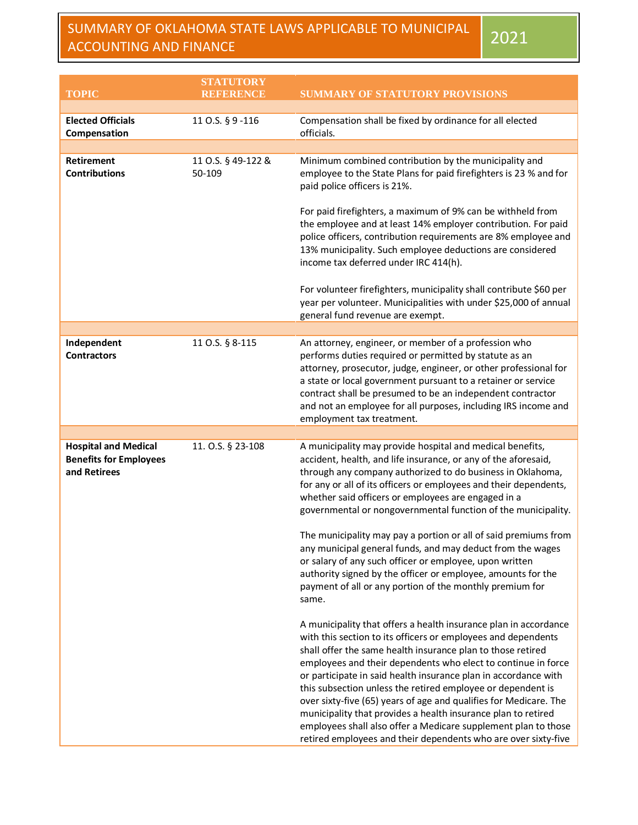|                                                                              | <b>STATUTORY</b>             |                                                                                                                                                                                                                                                                                                                                                                                                                                                                                                                                                                                                                                                                                                                         |
|------------------------------------------------------------------------------|------------------------------|-------------------------------------------------------------------------------------------------------------------------------------------------------------------------------------------------------------------------------------------------------------------------------------------------------------------------------------------------------------------------------------------------------------------------------------------------------------------------------------------------------------------------------------------------------------------------------------------------------------------------------------------------------------------------------------------------------------------------|
| <b>TOPIC</b>                                                                 | <b>REFERENCE</b>             | <b>SUMMARY OF STATUTORY PROVISIONS</b>                                                                                                                                                                                                                                                                                                                                                                                                                                                                                                                                                                                                                                                                                  |
|                                                                              |                              |                                                                                                                                                                                                                                                                                                                                                                                                                                                                                                                                                                                                                                                                                                                         |
| <b>Elected Officials</b>                                                     | 11 O.S. § 9 -116             | Compensation shall be fixed by ordinance for all elected                                                                                                                                                                                                                                                                                                                                                                                                                                                                                                                                                                                                                                                                |
| Compensation                                                                 |                              | officials.                                                                                                                                                                                                                                                                                                                                                                                                                                                                                                                                                                                                                                                                                                              |
|                                                                              |                              |                                                                                                                                                                                                                                                                                                                                                                                                                                                                                                                                                                                                                                                                                                                         |
| Retirement<br><b>Contributions</b>                                           | 11 O.S. § 49-122 &<br>50-109 | Minimum combined contribution by the municipality and<br>employee to the State Plans for paid firefighters is 23 % and for<br>paid police officers is 21%.                                                                                                                                                                                                                                                                                                                                                                                                                                                                                                                                                              |
|                                                                              |                              | For paid firefighters, a maximum of 9% can be withheld from<br>the employee and at least 14% employer contribution. For paid<br>police officers, contribution requirements are 8% employee and<br>13% municipality. Such employee deductions are considered<br>income tax deferred under IRC 414(h).                                                                                                                                                                                                                                                                                                                                                                                                                    |
|                                                                              |                              | For volunteer firefighters, municipality shall contribute \$60 per<br>year per volunteer. Municipalities with under \$25,000 of annual<br>general fund revenue are exempt.                                                                                                                                                                                                                                                                                                                                                                                                                                                                                                                                              |
|                                                                              |                              |                                                                                                                                                                                                                                                                                                                                                                                                                                                                                                                                                                                                                                                                                                                         |
| Independent<br><b>Contractors</b>                                            | 11 O.S. § 8-115              | An attorney, engineer, or member of a profession who<br>performs duties required or permitted by statute as an<br>attorney, prosecutor, judge, engineer, or other professional for<br>a state or local government pursuant to a retainer or service<br>contract shall be presumed to be an independent contractor<br>and not an employee for all purposes, including IRS income and<br>employment tax treatment.                                                                                                                                                                                                                                                                                                        |
|                                                                              |                              |                                                                                                                                                                                                                                                                                                                                                                                                                                                                                                                                                                                                                                                                                                                         |
| <b>Hospital and Medical</b><br><b>Benefits for Employees</b><br>and Retirees | 11. O.S. § 23-108            | A municipality may provide hospital and medical benefits,<br>accident, health, and life insurance, or any of the aforesaid,<br>through any company authorized to do business in Oklahoma,<br>for any or all of its officers or employees and their dependents,<br>whether said officers or employees are engaged in a<br>governmental or nongovernmental function of the municipality.<br>The municipality may pay a portion or all of said premiums from<br>any municipal general funds, and may deduct from the wages<br>or salary of any such officer or employee, upon written<br>authority signed by the officer or employee, amounts for the<br>payment of all or any portion of the monthly premium for<br>same. |
|                                                                              |                              | A municipality that offers a health insurance plan in accordance<br>with this section to its officers or employees and dependents<br>shall offer the same health insurance plan to those retired<br>employees and their dependents who elect to continue in force<br>or participate in said health insurance plan in accordance with<br>this subsection unless the retired employee or dependent is<br>over sixty-five (65) years of age and qualifies for Medicare. The<br>municipality that provides a health insurance plan to retired<br>employees shall also offer a Medicare supplement plan to those<br>retired employees and their dependents who are over sixty-five                                           |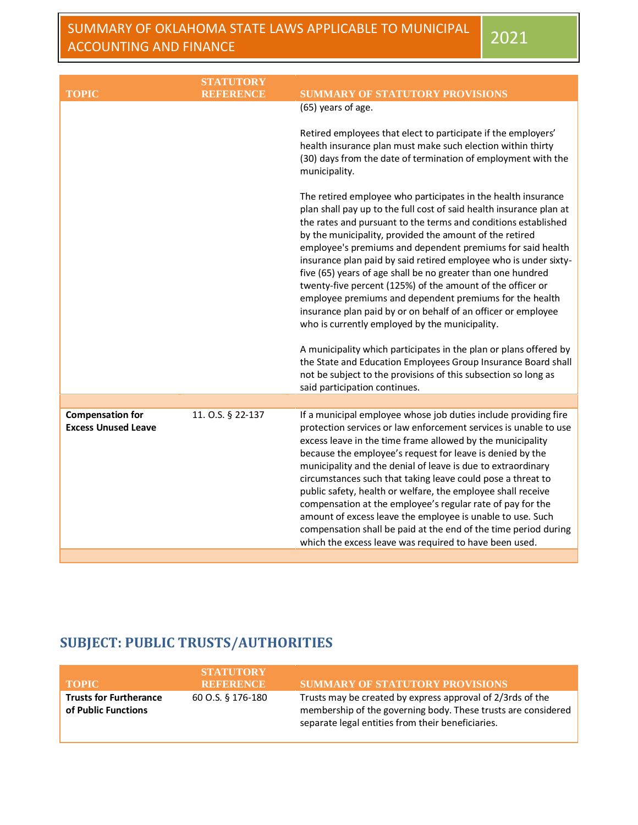| <b>TOPIC</b>                                          | STATUTORY<br><u>REFERENCE</u> | <b>SUMMARY OF STATUTORY PROVISIONS</b>                                                                                                                                                                                                                                                                                                                                                                                                                                                                                                                                                                                                                                                                                                                                                                                                               |
|-------------------------------------------------------|-------------------------------|------------------------------------------------------------------------------------------------------------------------------------------------------------------------------------------------------------------------------------------------------------------------------------------------------------------------------------------------------------------------------------------------------------------------------------------------------------------------------------------------------------------------------------------------------------------------------------------------------------------------------------------------------------------------------------------------------------------------------------------------------------------------------------------------------------------------------------------------------|
|                                                       |                               | (65) years of age.                                                                                                                                                                                                                                                                                                                                                                                                                                                                                                                                                                                                                                                                                                                                                                                                                                   |
|                                                       |                               | Retired employees that elect to participate if the employers'<br>health insurance plan must make such election within thirty<br>(30) days from the date of termination of employment with the<br>municipality.                                                                                                                                                                                                                                                                                                                                                                                                                                                                                                                                                                                                                                       |
|                                                       |                               | The retired employee who participates in the health insurance<br>plan shall pay up to the full cost of said health insurance plan at<br>the rates and pursuant to the terms and conditions established<br>by the municipality, provided the amount of the retired<br>employee's premiums and dependent premiums for said health<br>insurance plan paid by said retired employee who is under sixty-<br>five (65) years of age shall be no greater than one hundred<br>twenty-five percent (125%) of the amount of the officer or<br>employee premiums and dependent premiums for the health<br>insurance plan paid by or on behalf of an officer or employee<br>who is currently employed by the municipality.<br>A municipality which participates in the plan or plans offered by<br>the State and Education Employees Group Insurance Board shall |
|                                                       |                               | not be subject to the provisions of this subsection so long as<br>said participation continues.                                                                                                                                                                                                                                                                                                                                                                                                                                                                                                                                                                                                                                                                                                                                                      |
|                                                       |                               |                                                                                                                                                                                                                                                                                                                                                                                                                                                                                                                                                                                                                                                                                                                                                                                                                                                      |
| <b>Compensation for</b><br><b>Excess Unused Leave</b> | 11. O.S. § 22-137             | If a municipal employee whose job duties include providing fire<br>protection services or law enforcement services is unable to use<br>excess leave in the time frame allowed by the municipality<br>because the employee's request for leave is denied by the<br>municipality and the denial of leave is due to extraordinary<br>circumstances such that taking leave could pose a threat to<br>public safety, health or welfare, the employee shall receive<br>compensation at the employee's regular rate of pay for the<br>amount of excess leave the employee is unable to use. Such<br>compensation shall be paid at the end of the time period during<br>which the excess leave was required to have been used.                                                                                                                               |

### **SUBJECT: PUBLIC TRUSTS/AUTHORITIES**

| <b>TOPIC</b>                                         | <b>STATUTORY</b><br><b>REFERENCE</b> | <b>SUMMARY OF STATUTORY PROVISIONS</b>                                                                                                                                           |
|------------------------------------------------------|--------------------------------------|----------------------------------------------------------------------------------------------------------------------------------------------------------------------------------|
| <b>Trusts for Furtherance</b><br>of Public Functions | 60 O.S. § 176-180                    | Trusts may be created by express approval of 2/3rds of the<br>membership of the governing body. These trusts are considered<br>separate legal entities from their beneficiaries. |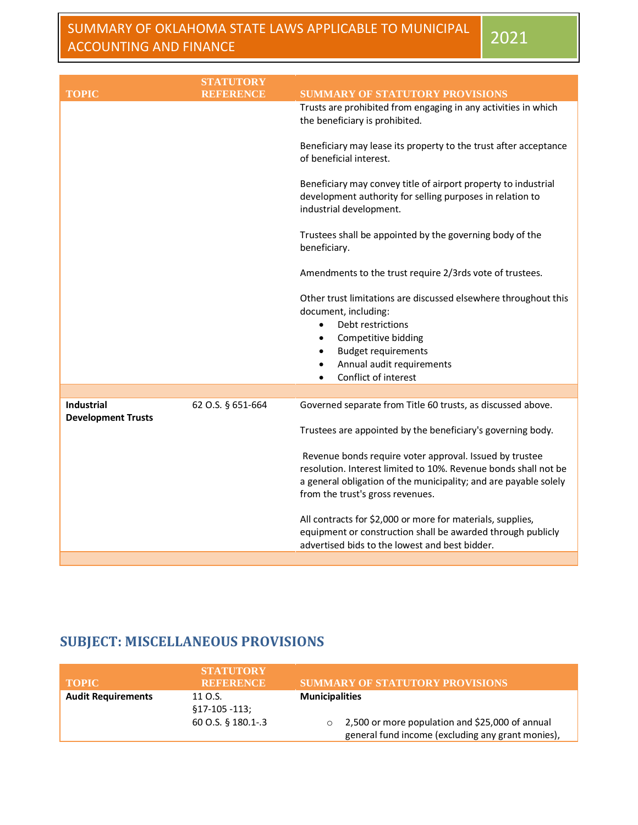| <b>TOPIC</b>                            | STATUTORY<br>RD BERENOE | <b>SUMMARY OF STATUTORY PROVISIONS</b>                                                                                                                                                                                             |
|-----------------------------------------|-------------------------|------------------------------------------------------------------------------------------------------------------------------------------------------------------------------------------------------------------------------------|
|                                         |                         | Trusts are prohibited from engaging in any activities in which<br>the beneficiary is prohibited.                                                                                                                                   |
|                                         |                         | Beneficiary may lease its property to the trust after acceptance<br>of beneficial interest.                                                                                                                                        |
|                                         |                         | Beneficiary may convey title of airport property to industrial<br>development authority for selling purposes in relation to<br>industrial development.                                                                             |
|                                         |                         | Trustees shall be appointed by the governing body of the<br>beneficiary.                                                                                                                                                           |
|                                         |                         | Amendments to the trust require 2/3rds vote of trustees.                                                                                                                                                                           |
|                                         |                         | Other trust limitations are discussed elsewhere throughout this<br>document, including:                                                                                                                                            |
|                                         |                         | Debt restrictions                                                                                                                                                                                                                  |
|                                         |                         | Competitive bidding<br>٠                                                                                                                                                                                                           |
|                                         |                         | <b>Budget requirements</b><br>$\bullet$                                                                                                                                                                                            |
|                                         |                         | Annual audit requirements<br>$\bullet$<br>Conflict of interest                                                                                                                                                                     |
|                                         |                         |                                                                                                                                                                                                                                    |
| Industrial<br><b>Development Trusts</b> | 62 O.S. § 651-664       | Governed separate from Title 60 trusts, as discussed above.                                                                                                                                                                        |
|                                         |                         | Trustees are appointed by the beneficiary's governing body.                                                                                                                                                                        |
|                                         |                         | Revenue bonds require voter approval. Issued by trustee<br>resolution. Interest limited to 10%. Revenue bonds shall not be<br>a general obligation of the municipality; and are payable solely<br>from the trust's gross revenues. |
|                                         |                         | All contracts for \$2,000 or more for materials, supplies,<br>equipment or construction shall be awarded through publicly<br>advertised bids to the lowest and best bidder.                                                        |
|                                         |                         |                                                                                                                                                                                                                                    |

#### **SUBJECT: MISCELLANEOUS PROVISIONS**

| <b>TOPIC</b>              | <b>STATUTORY</b><br><b>REFERENCE</b> | <b>SUMMARY OF STATUTORY PROVISIONS</b>                                                                          |
|---------------------------|--------------------------------------|-----------------------------------------------------------------------------------------------------------------|
| <b>Audit Requirements</b> | 11 O.S.<br>§17-105 -113;             | <b>Municipalities</b>                                                                                           |
|                           | 60 O.S. § 180.1-.3                   | 2,500 or more population and \$25,000 of annual<br>$\circ$<br>general fund income (excluding any grant monies), |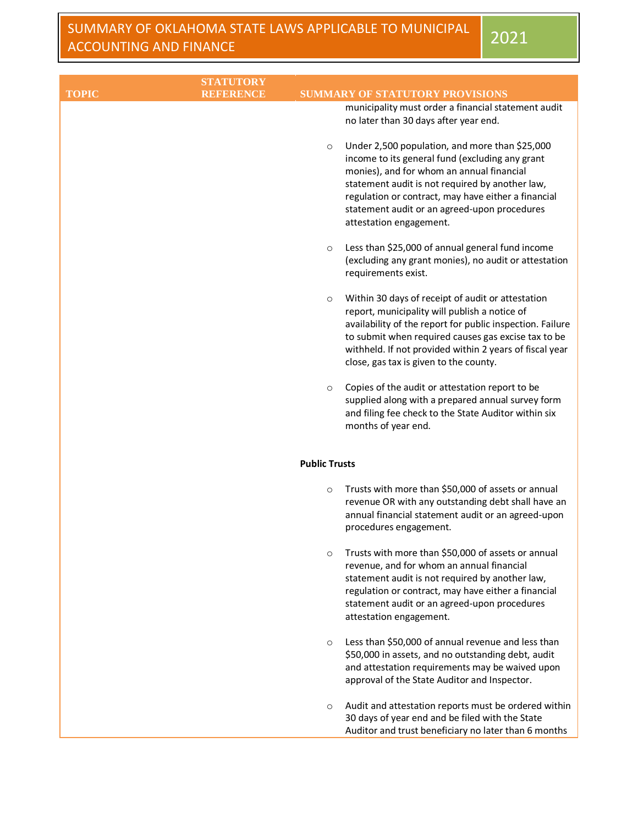|              | <b>STATUTORY</b>  |                      |                                                                                                                                                                                                                                                                                                                                     |
|--------------|-------------------|----------------------|-------------------------------------------------------------------------------------------------------------------------------------------------------------------------------------------------------------------------------------------------------------------------------------------------------------------------------------|
| <b>TOPIC</b> | R 9 9 9 8 9 N 6 9 |                      | <b>SUMMARY OF STATUTORY PROVISIONS</b>                                                                                                                                                                                                                                                                                              |
|              |                   |                      | municipality must order a financial statement audit<br>no later than 30 days after year end.                                                                                                                                                                                                                                        |
|              |                   | $\circ$              | Under 2,500 population, and more than \$25,000<br>income to its general fund (excluding any grant<br>monies), and for whom an annual financial<br>statement audit is not required by another law,<br>regulation or contract, may have either a financial<br>statement audit or an agreed-upon procedures<br>attestation engagement. |
|              |                   | $\circ$              | Less than \$25,000 of annual general fund income<br>(excluding any grant monies), no audit or attestation<br>requirements exist.                                                                                                                                                                                                    |
|              |                   | $\circ$              | Within 30 days of receipt of audit or attestation<br>report, municipality will publish a notice of<br>availability of the report for public inspection. Failure<br>to submit when required causes gas excise tax to be<br>withheld. If not provided within 2 years of fiscal year<br>close, gas tax is given to the county.         |
|              |                   | $\circ$              | Copies of the audit or attestation report to be<br>supplied along with a prepared annual survey form<br>and filing fee check to the State Auditor within six<br>months of year end.                                                                                                                                                 |
|              |                   | <b>Public Trusts</b> |                                                                                                                                                                                                                                                                                                                                     |
|              |                   | $\circ$              | Trusts with more than \$50,000 of assets or annual<br>revenue OR with any outstanding debt shall have an<br>annual financial statement audit or an agreed-upon<br>procedures engagement.                                                                                                                                            |
|              |                   | $\circ$              | Trusts with more than \$50,000 of assets or annual<br>revenue, and for whom an annual financial<br>statement audit is not required by another law,<br>regulation or contract, may have either a financial<br>statement audit or an agreed-upon procedures<br>attestation engagement.                                                |
|              |                   | $\circ$              | Less than \$50,000 of annual revenue and less than<br>\$50,000 in assets, and no outstanding debt, audit<br>and attestation requirements may be waived upon<br>approval of the State Auditor and Inspector.                                                                                                                         |
|              |                   | $\circ$              | Audit and attestation reports must be ordered within<br>30 days of year end and be filed with the State<br>Auditor and trust beneficiary no later than 6 months                                                                                                                                                                     |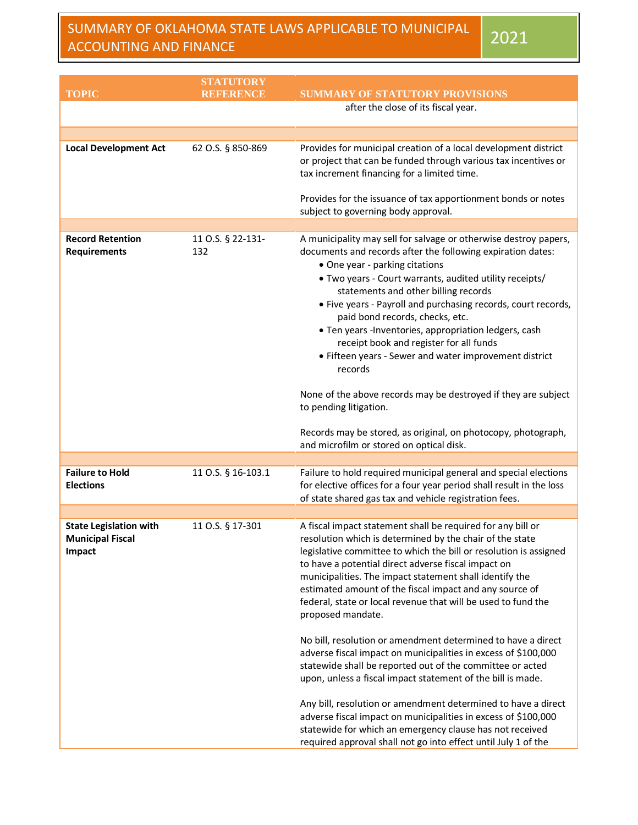| <b>TOPIC</b>                                                       | <b>STATUTORY</b><br><b>REFERENCE</b> | <b>SUMMARY OF STATUTORY PROVISIONS</b>                                                                                                                                                                                                                                                                                                                                                                                                                                                                                                                                                                                                        |
|--------------------------------------------------------------------|--------------------------------------|-----------------------------------------------------------------------------------------------------------------------------------------------------------------------------------------------------------------------------------------------------------------------------------------------------------------------------------------------------------------------------------------------------------------------------------------------------------------------------------------------------------------------------------------------------------------------------------------------------------------------------------------------|
|                                                                    |                                      | after the close of its fiscal year.                                                                                                                                                                                                                                                                                                                                                                                                                                                                                                                                                                                                           |
|                                                                    |                                      |                                                                                                                                                                                                                                                                                                                                                                                                                                                                                                                                                                                                                                               |
| <b>Local Development Act</b>                                       | 62 O.S. § 850-869                    | Provides for municipal creation of a local development district<br>or project that can be funded through various tax incentives or<br>tax increment financing for a limited time.                                                                                                                                                                                                                                                                                                                                                                                                                                                             |
|                                                                    |                                      | Provides for the issuance of tax apportionment bonds or notes<br>subject to governing body approval.                                                                                                                                                                                                                                                                                                                                                                                                                                                                                                                                          |
|                                                                    |                                      |                                                                                                                                                                                                                                                                                                                                                                                                                                                                                                                                                                                                                                               |
| <b>Record Retention</b><br><b>Requirements</b>                     | 11 O.S. § 22-131-<br>132             | A municipality may sell for salvage or otherwise destroy papers,<br>documents and records after the following expiration dates:<br>• One year - parking citations<br>. Two years - Court warrants, audited utility receipts/<br>statements and other billing records<br>• Five years - Payroll and purchasing records, court records,<br>paid bond records, checks, etc.<br>• Ten years -Inventories, appropriation ledgers, cash<br>receipt book and register for all funds<br>• Fifteen years - Sewer and water improvement district<br>records<br>None of the above records may be destroyed if they are subject<br>to pending litigation. |
|                                                                    |                                      | Records may be stored, as original, on photocopy, photograph,<br>and microfilm or stored on optical disk.                                                                                                                                                                                                                                                                                                                                                                                                                                                                                                                                     |
|                                                                    |                                      |                                                                                                                                                                                                                                                                                                                                                                                                                                                                                                                                                                                                                                               |
| <b>Failure to Hold</b><br><b>Elections</b>                         | 11 O.S. § 16-103.1                   | Failure to hold required municipal general and special elections<br>for elective offices for a four year period shall result in the loss<br>of state shared gas tax and vehicle registration fees.                                                                                                                                                                                                                                                                                                                                                                                                                                            |
|                                                                    |                                      |                                                                                                                                                                                                                                                                                                                                                                                                                                                                                                                                                                                                                                               |
| <b>State Legislation with</b><br><b>Municipal Fiscal</b><br>Impact | 11 O.S. § 17-301                     | A fiscal impact statement shall be required for any bill or<br>resolution which is determined by the chair of the state<br>legislative committee to which the bill or resolution is assigned<br>to have a potential direct adverse fiscal impact on<br>municipalities. The impact statement shall identify the<br>estimated amount of the fiscal impact and any source of<br>federal, state or local revenue that will be used to fund the<br>proposed mandate.                                                                                                                                                                               |
|                                                                    |                                      | No bill, resolution or amendment determined to have a direct<br>adverse fiscal impact on municipalities in excess of \$100,000<br>statewide shall be reported out of the committee or acted<br>upon, unless a fiscal impact statement of the bill is made.                                                                                                                                                                                                                                                                                                                                                                                    |
|                                                                    |                                      | Any bill, resolution or amendment determined to have a direct<br>adverse fiscal impact on municipalities in excess of \$100,000<br>statewide for which an emergency clause has not received<br>required approval shall not go into effect until July 1 of the                                                                                                                                                                                                                                                                                                                                                                                 |